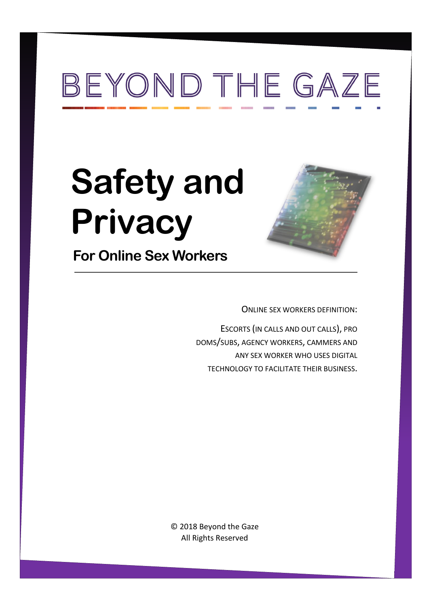# BEYOND THE GAZE

# **Safety and Privacy**



**For Online Sex Workers** 

ONLINE SEX WORKERS DEFINITION:

ESCORTS (IN CALLS AND OUT CALLS), PRO DOMS/SUBS, AGENCY WORKERS, CAMMERS AND ANY SEX WORKER WHO USES DIGITAL TECHNOLOGY TO FACILITATE THEIR BUSINESS.

© 2018 Beyond the Gaze All Rights Reserved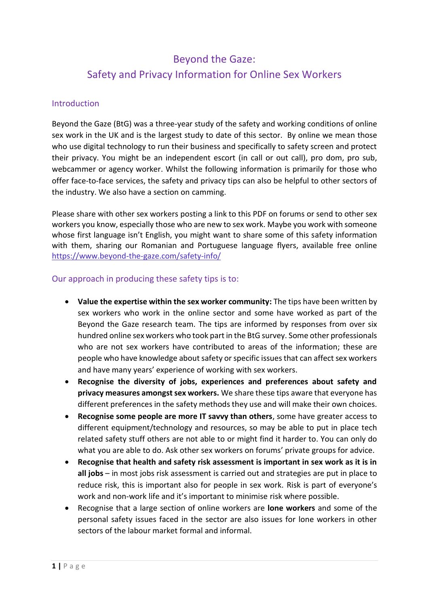# Beyond the Gaze: Safety and Privacy Information for Online Sex Workers

#### **Introduction**

Beyond the Gaze (BtG) was a three-year study of the safety and working conditions of online sex work in the UK and is the largest study to date of this sector. By online we mean those who use digital technology to run their business and specifically to safety screen and protect their privacy. You might be an independent escort (in call or out call), pro dom, pro sub, webcammer or agency worker. Whilst the following information is primarily for those who offer face-to-face services, the safety and privacy tips can also be helpful to other sectors of the industry. We also have a section on camming.

Please share with other sex workers posting a link to this PDF on forums or send to other sex workers you know, especially those who are new to sex work. Maybe you work with someone whose first language isn't English, you might want to share some of this safety information with them, sharing our Romanian and Portuguese language flyers, available free online <https://www.beyond-the-gaze.com/safety-info/>

#### Our approach in producing these safety tips is to:

- **Value the expertise within the sex worker community:** The tips have been written by sex workers who work in the online sector and some have worked as part of the Beyond the Gaze research team. The tips are informed by responses from over six hundred online sex workers who took part in the BtG survey. Some other professionals who are not sex workers have contributed to areas of the information; these are people who have knowledge about safety or specific issues that can affect sex workers and have many years' experience of working with sex workers.
- **Recognise the diversity of jobs, experiences and preferences about safety and privacy measures amongst sex workers.** We share these tips aware that everyone has different preferences in the safety methods they use and will make their own choices.
- **Recognise some people are more IT savvy than others**, some have greater access to different equipment/technology and resources, so may be able to put in place tech related safety stuff others are not able to or might find it harder to. You can only do what you are able to do. Ask other sex workers on forums' private groups for advice.
- **Recognise that health and safety risk assessment is important in sex work as it is in all jobs** – in most jobs risk assessment is carried out and strategies are put in place to reduce risk, this is important also for people in sex work. Risk is part of everyone's work and non-work life and it's important to minimise risk where possible.
- Recognise that a large section of online workers are **lone workers** and some of the personal safety issues faced in the sector are also issues for lone workers in other sectors of the labour market formal and informal.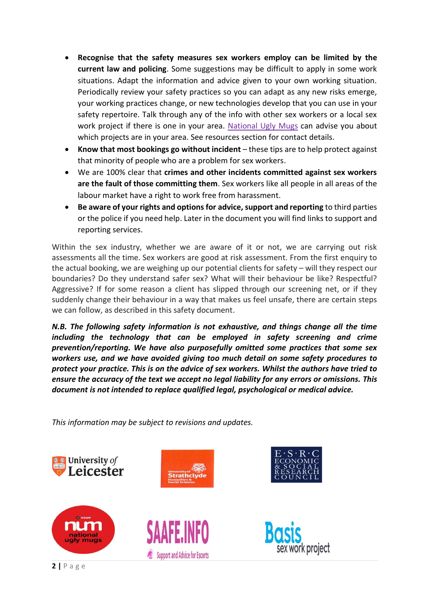- **Recognise that the safety measures sex workers employ can be limited by the current law and policing**. Some suggestions may be difficult to apply in some work situations. Adapt the information and advice given to your own working situation. Periodically review your safety practices so you can adapt as any new risks emerge, your working practices change, or new technologies develop that you can use in your safety repertoire. Talk through any of the info with other sex workers or a local sex work project if there is one in your area. [National Ugly Mugs](http://www.uglymugs.org/) can advise you about which projects are in your area. See resources section for contact details.
- **Know that most bookings go without incident** these tips are to help protect against that minority of people who are a problem for sex workers.
- We are 100% clear that **crimes and other incidents committed against sex workers are the fault of those committing them**. Sex workers like all people in all areas of the labour market have a right to work free from harassment.
- **Be aware of your rights and options for advice, support and reporting** to third parties or the police if you need help. Later in the document you will find links to support and reporting services.

Within the sex industry, whether we are aware of it or not, we are carrying out risk assessments all the time. Sex workers are good at risk assessment. From the first enquiry to the actual booking, we are weighing up our potential clients for safety – will they respect our boundaries? Do they understand safer sex? What will their behaviour be like? Respectful? Aggressive? If for some reason a client has slipped through our screening net, or if they suddenly change their behaviour in a way that makes us feel unsafe, there are certain steps we can follow, as described in this safety document.

*N.B. The following safety information is not exhaustive, and things change all the time including the technology that can be employed in safety screening and crime prevention/reporting. We have also purposefully omitted some practices that some sex workers use, and we have avoided giving too much detail on some safety procedures to protect your practice. This is on the advice of sex workers. Whilst the authors have tried to ensure the accuracy of the text we accept no legal liability for any errors or omissions. This document is not intended to replace qualified legal, psychological or medical advice.* 

*This information may be subject to revisions and updates.*

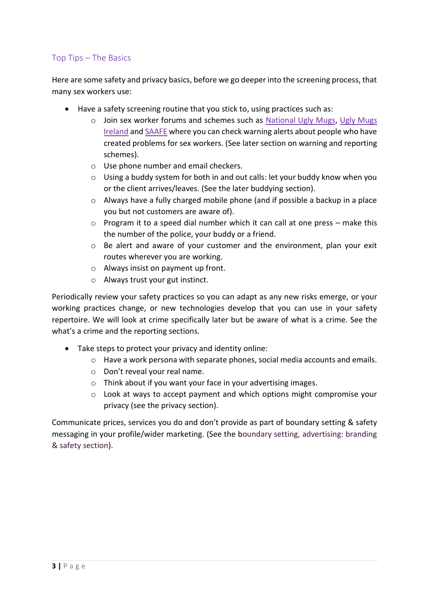# Top Tips – The Basics

Here are some safety and privacy basics, before we go deeper into the screening process, that many sex workers use:

- Have a safety screening routine that you stick to, using practices such as:
	- o Join sex worker forums and schemes such as [National Ugly Mugs,](http://www.uglymugs.org/) [Ugly Mugs](https://uglymugs.ie/)  [Ireland](https://uglymugs.ie/) an[d SAAFE](https://saafe.info/main/index.php) where you can check warning alerts about people who have created problems for sex workers. (See later section on warning and reporting schemes).
	- o Use phone number and email checkers.
	- o Using a buddy system for both in and out calls: let your buddy know when you or the client arrives/leaves. (See the later buddying section).
	- o Always have a fully charged mobile phone (and if possible a backup in a place you but not customers are aware of).
	- $\circ$  Program it to a speed dial number which it can call at one press make this the number of the police, your buddy or a friend.
	- $\circ$  Be alert and aware of your customer and the environment, plan your exit routes wherever you are working.
	- o Always insist on payment up front.
	- o Always trust your gut instinct.

Periodically review your safety practices so you can adapt as any new risks emerge, or your working practices change, or new technologies develop that you can use in your safety repertoire. We will look at crime specifically later but be aware of what is a crime. See the what's a crime and the reporting sections.

- Take steps to protect your privacy and identity online:
	- $\circ$  Have a work persona with separate phones, social media accounts and emails.
	- o Don't reveal your real name.
	- o Think about if you want your face in your advertising images.
	- $\circ$  Look at ways to accept payment and which options might compromise your privacy (see the privacy section).

Communicate prices, services you do and don't provide as part of boundary setting & safety messaging in your profile/wider marketing. (See the boundary setting, advertising: branding & safety section).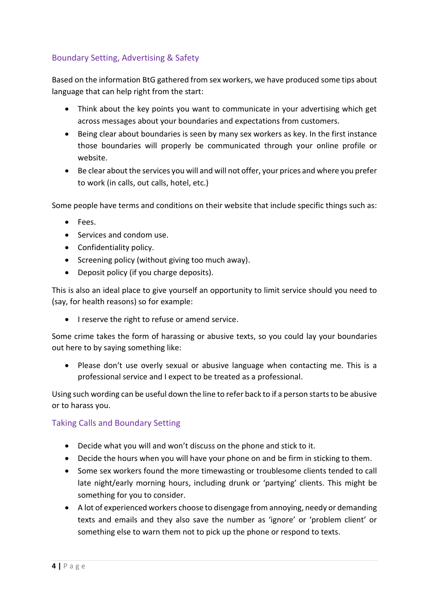# Boundary Setting, Advertising & Safety

Based on the information BtG gathered from sex workers, we have produced some tips about language that can help right from the start:

- Think about the key points you want to communicate in your advertising which get across messages about your boundaries and expectations from customers.
- Being clear about boundaries is seen by many sex workers as key. In the first instance those boundaries will properly be communicated through your online profile or website.
- Be clear about the services you will and will not offer, your prices and where you prefer to work (in calls, out calls, hotel, etc.)

Some people have terms and conditions on their website that include specific things such as:

- Fees.
- Services and condom use.
- Confidentiality policy.
- Screening policy (without giving too much away).
- Deposit policy (if you charge deposits).

This is also an ideal place to give yourself an opportunity to limit service should you need to (say, for health reasons) so for example:

• I reserve the right to refuse or amend service.

Some crime takes the form of harassing or abusive texts, so you could lay your boundaries out here to by saying something like:

• Please don't use overly sexual or abusive language when contacting me. This is a professional service and I expect to be treated as a professional.

Using such wording can be useful down the line to refer back to if a person starts to be abusive or to harass you.

#### Taking Calls and Boundary Setting

- Decide what you will and won't discuss on the phone and stick to it.
- Decide the hours when you will have your phone on and be firm in sticking to them.
- Some sex workers found the more timewasting or troublesome clients tended to call late night/early morning hours, including drunk or 'partying' clients. This might be something for you to consider.
- A lot of experienced workers choose to disengage from annoying, needy or demanding texts and emails and they also save the number as 'ignore' or 'problem client' or something else to warn them not to pick up the phone or respond to texts.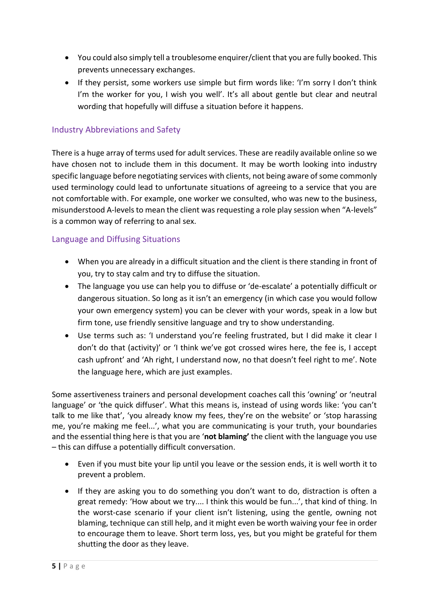- You could also simply tell a troublesome enquirer/client that you are fully booked. This prevents unnecessary exchanges.
- If they persist, some workers use simple but firm words like: 'I'm sorry I don't think I'm the worker for you, I wish you well'. It's all about gentle but clear and neutral wording that hopefully will diffuse a situation before it happens.

#### Industry Abbreviations and Safety

There is a huge array of terms used for adult services. These are readily available online so we have chosen not to include them in this document. It may be worth looking into industry specific language before negotiating services with clients, not being aware of some commonly used terminology could lead to unfortunate situations of agreeing to a service that you are not comfortable with. For example, one worker we consulted, who was new to the business, misunderstood A-levels to mean the client was requesting a role play session when "A-levels" is a common way of referring to anal sex.

#### Language and Diffusing Situations

- When you are already in a difficult situation and the client is there standing in front of you, try to stay calm and try to diffuse the situation.
- The language you use can help you to diffuse or 'de-escalate' a potentially difficult or dangerous situation. So long as it isn't an emergency (in which case you would follow your own emergency system) you can be clever with your words, speak in a low but firm tone, use friendly sensitive language and try to show understanding.
- Use terms such as: 'I understand you're feeling frustrated, but I did make it clear I don't do that (activity)' or 'I think we've got crossed wires here, the fee is, I accept cash upfront' and 'Ah right, I understand now, no that doesn't feel right to me'. Note the language here, which are just examples.

Some assertiveness trainers and personal development coaches call this 'owning' or 'neutral language' or 'the quick diffuser'. What this means is, instead of using words like: 'you can't talk to me like that', 'you already know my fees, they're on the website' or 'stop harassing me, you're making me feel...', what you are communicating is your truth, your boundaries and the essential thing here is that you are '**not blaming'** the client with the language you use – this can diffuse a potentially difficult conversation.

- Even if you must bite your lip until you leave or the session ends, it is well worth it to prevent a problem.
- If they are asking you to do something you don't want to do, distraction is often a great remedy: 'How about we try.... I think this would be fun...', that kind of thing. In the worst-case scenario if your client isn't listening, using the gentle, owning not blaming, technique can still help, and it might even be worth waiving your fee in order to encourage them to leave. Short term loss, yes, but you might be grateful for them shutting the door as they leave.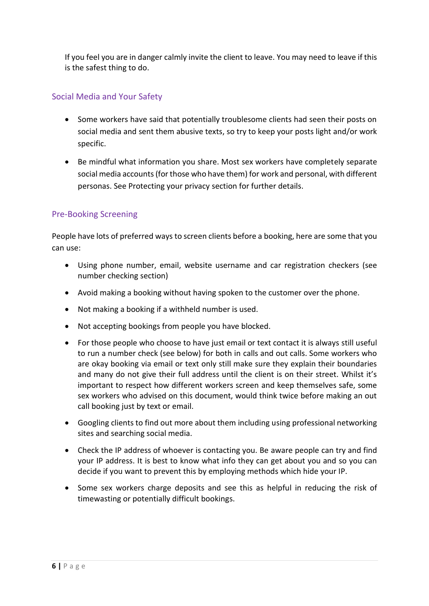If you feel you are in danger calmly invite the client to leave. You may need to leave if this is the safest thing to do.

# Social Media and Your Safety

- Some workers have said that potentially troublesome clients had seen their posts on social media and sent them abusive texts, so try to keep your posts light and/or work specific.
- Be mindful what information you share. Most sex workers have completely separate social media accounts (for those who have them) for work and personal, with different personas. See Protecting your privacy section for further details.

# Pre-Booking Screening

People have lots of preferred ways to screen clients before a booking, here are some that you can use:

- Using phone number, email, website username and car registration checkers (see number checking section)
- Avoid making a booking without having spoken to the customer over the phone.
- Not making a booking if a withheld number is used.
- Not accepting bookings from people you have blocked.
- For those people who choose to have just email or text contact it is always still useful to run a number check (see below) for both in calls and out calls. Some workers who are okay booking via email or text only still make sure they explain their boundaries and many do not give their full address until the client is on their street. Whilst it's important to respect how different workers screen and keep themselves safe, some sex workers who advised on this document, would think twice before making an out call booking just by text or email.
- Googling clients to find out more about them including using professional networking sites and searching social media.
- Check the IP address of whoever is contacting you. Be aware people can try and find your IP address. It is best to know what info they can get about you and so you can decide if you want to prevent this by employing methods which hide your IP.
- Some sex workers charge deposits and see this as helpful in reducing the risk of timewasting or potentially difficult bookings.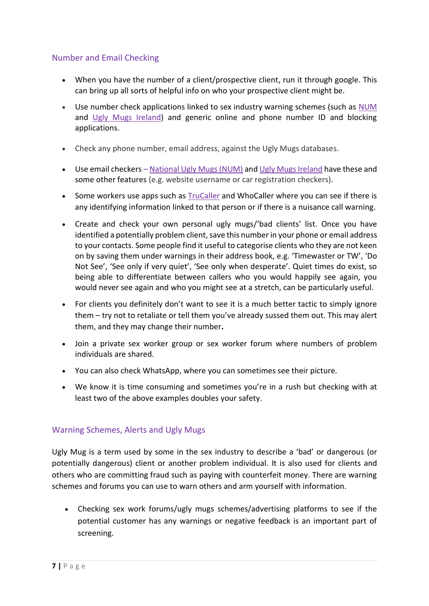# Number and Email Checking

- When you have the number of a client/prospective client, run it through google. This can bring up all sorts of helpful info on who your prospective client might be.
- Use number check applications linked to sex industry warning schemes (such as [NUM](https://uknswp.org/um/) and [Ugly Mugs Ireland\)](https://uglymugs.ie/) and generic online and phone number ID and blocking applications.
- Check any phone number, email address, against the Ugly Mugs databases.
- Use email checkers [National Ugly Mugs \(NUM\)](https://uknswp.org/um/) and [Ugly Mugs Ireland](https://uglymugs.ie/about-ugly-mugs/workers/) have these and some other features (e.g. website username or car registration checkers).
- Some workers use apps such as [TruCaller](https://www.truecaller.com/search/uk/07805015377) and WhoCaller where you can see if there is any identifying information linked to that person or if there is a nuisance call warning.
- Create and check your own personal ugly mugs/'bad clients' list. Once you have identified a potentially problem client, save this number in your phone or email address to your contacts. Some people find it useful to categorise clients who they are not keen on by saving them under warnings in their address book, e.g. 'Timewaster or TW', 'Do Not See', 'See only if very quiet', 'See only when desperate'. Quiet times do exist, so being able to differentiate between callers who you would happily see again, you would never see again and who you might see at a stretch, can be particularly useful.
- For clients you definitely don't want to see it is a much better tactic to simply ignore them – try not to retaliate or tell them you've already sussed them out. This may alert them, and they may change their number**.**
- Join a private sex worker group or sex worker forum where numbers of problem individuals are shared.
- You can also check WhatsApp, where you can sometimes see their picture.
- We know it is time consuming and sometimes you're in a rush but checking with at least two of the above examples doubles your safety.

#### Warning Schemes, Alerts and Ugly Mugs

Ugly Mug is a term used by some in the sex industry to describe a 'bad' or dangerous (or potentially dangerous) client or another problem individual. It is also used for clients and others who are committing fraud such as paying with counterfeit money. There are warning schemes and forums you can use to warn others and arm yourself with information.

• Checking sex work forums/ugly mugs schemes/advertising platforms to see if the potential customer has any warnings or negative feedback is an important part of screening.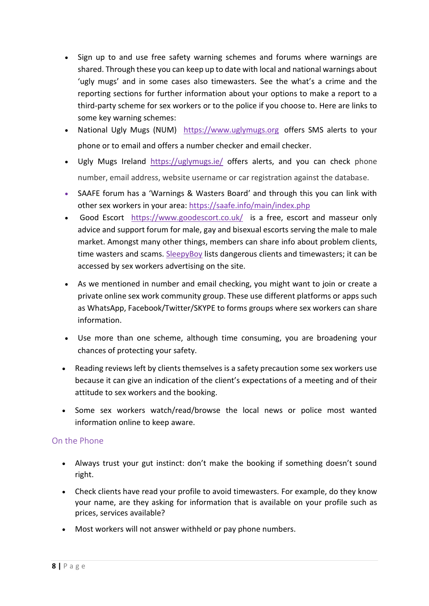- Sign up to and use free safety warning schemes and forums where warnings are shared. Through these you can keep up to date with local and national warnings about 'ugly mugs' and in some cases also timewasters. See the what's a crime and the reporting sections for further information about your options to make a report to a third-party scheme for sex workers or to the police if you choose to. Here are links to some key warning schemes:
- National Ugly Mugs (NUM) [https://www.uglymugs.org](https://www.uglymugs.org/) offers SMS alerts to your phone or to email and offers a number checker and email checker.
- Ugly Mugs Ireland <https://uglymugs.ie/> offers alerts, and you can check phone number, email address, website username or car registration against the database.
- SAAFE forum has a 'Warnings & Wasters Board' and through this you can link with other sex workers in your area:<https://saafe.info/main/index.php>
- [Good Escort](file://///uol.le.ac.uk/root/staff/home/r/rc377/Downloads/Good%20Escort%20) <https://www.goodescort.co.uk/> is a free, escort and masseur only advice and support forum for male, gay and bisexual escorts serving the male to male market. Amongst many other things, members can share info about problem clients, time wasters and scams. [SleepyBoy](https://www.sleepyboy.com/index.php) lists dangerous clients and timewasters; it can be accessed by sex workers advertising on the site.
- As we mentioned in number and email checking, you might want to join or create a private online sex work community group. These use different platforms or apps such as WhatsApp, Facebook/Twitter/SKYPE to forms groups where sex workers can share information.
- Use more than one scheme, although time consuming, you are broadening your chances of protecting your safety.
- Reading reviews left by clients themselves is a safety precaution some sex workers use because it can give an indication of the client's expectations of a meeting and of their attitude to sex workers and the booking.
- Some sex workers watch/read/browse the local news or police most wanted information online to keep aware.

# On the Phone

- Always trust your gut instinct: don't make the booking if something doesn't sound right.
- Check clients have read your profile to avoid timewasters. For example, do they know your name, are they asking for information that is available on your profile such as prices, services available?
- Most workers will not answer withheld or pay phone numbers.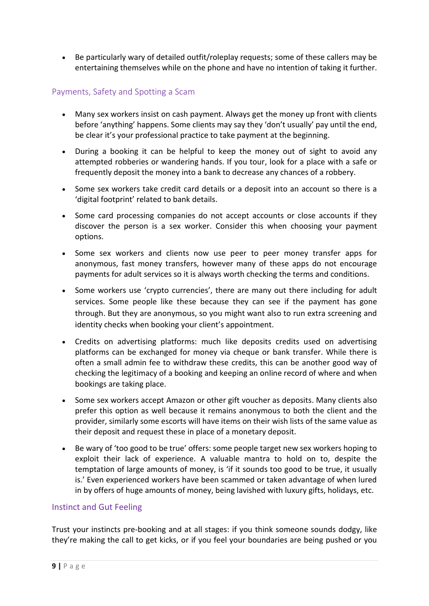• Be particularly wary of detailed outfit/roleplay requests; some of these callers may be entertaining themselves while on the phone and have no intention of taking it further.

# Payments, Safety and Spotting a Scam

- Many sex workers insist on cash payment. Always get the money up front with clients before 'anything' happens. Some clients may say they 'don't usually' pay until the end, be clear it's your professional practice to take payment at the beginning.
- During a booking it can be helpful to keep the money out of sight to avoid any attempted robberies or wandering hands. If you tour, look for a place with a safe or frequently deposit the money into a bank to decrease any chances of a robbery.
- Some sex workers take credit card details or a deposit into an account so there is a 'digital footprint' related to bank details.
- Some card processing companies do not accept accounts or close accounts if they discover the person is a sex worker. Consider this when choosing your payment options.
- Some sex workers and clients now use peer to peer money transfer apps for anonymous, fast money transfers, however many of these apps do not encourage payments for adult services so it is always worth checking the terms and conditions.
- Some workers use 'crypto currencies', there are many out there including for adult services. Some people like these because they can see if the payment has gone through. But they are anonymous, so you might want also to run extra screening and identity checks when booking your client's appointment.
- Credits on advertising platforms: much like deposits credits used on advertising platforms can be exchanged for money via cheque or bank transfer. While there is often a small admin fee to withdraw these credits, this can be another good way of checking the legitimacy of a booking and keeping an online record of where and when bookings are taking place.
- Some sex workers accept Amazon or other gift voucher as deposits. Many clients also prefer this option as well because it remains anonymous to both the client and the provider, similarly some escorts will have items on their wish lists of the same value as their deposit and request these in place of a monetary deposit.
- Be wary of 'too good to be true' offers: some people target new sex workers hoping to exploit their lack of experience. A valuable mantra to hold on to, despite the temptation of large amounts of money, is 'if it sounds too good to be true, it usually is.' Even experienced workers have been scammed or taken advantage of when lured in by offers of huge amounts of money, being lavished with luxury gifts, holidays, etc.

#### Instinct and Gut Feeling

Trust your instincts pre-booking and at all stages: if you think someone sounds dodgy, like they're making the call to get kicks, or if you feel your boundaries are being pushed or you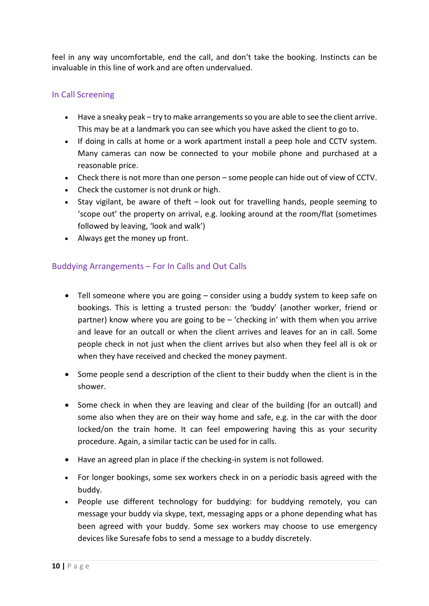feel in any way uncomfortable, end the call, and don't take the booking. Instincts can be invaluable in this line of work and are often undervalued.

# In Call Screening

- Have a sneaky peak try to make arrangements so you are able to see the client arrive. This may be at a landmark you can see which you have asked the client to go to.
- If doing in calls at home or a work apartment install a peep hole and CCTV system. Many cameras can now be connected to your mobile phone and purchased at a reasonable price.
- Check there is not more than one person some people can hide out of view of CCTV.
- Check the customer is not drunk or high.
- Stay vigilant, be aware of theft look out for travelling hands, people seeming to 'scope out' the property on arrival, e.g. looking around at the room/flat (sometimes followed by leaving, 'look and walk')
- Always get the money up front.

#### Buddying Arrangements – For In Calls and Out Calls

- Tell someone where you are going consider using a buddy system to keep safe on bookings. This is letting a trusted person: the 'buddy' (another worker, friend or partner) know where you are going to be – 'checking in' with them when you arrive and leave for an outcall or when the client arrives and leaves for an in call. Some people check in not just when the client arrives but also when they feel all is ok or when they have received and checked the money payment.
- Some people send a description of the client to their buddy when the client is in the shower.
- Some check in when they are leaving and clear of the building (for an outcall) and some also when they are on their way home and safe, e.g. in the car with the door locked/on the train home. It can feel empowering having this as your security procedure. Again, a similar tactic can be used for in calls.
- Have an agreed plan in place if the checking-in system is not followed.
- For longer bookings, some sex workers check in on a periodic basis agreed with the buddy.
- People use different technology for buddying: for buddying remotely, you can message your buddy via skype, text, messaging apps or a phone depending what has been agreed with your buddy. Some sex workers may choose to use emergency devices like Suresafe fobs to send a message to a buddy discretely.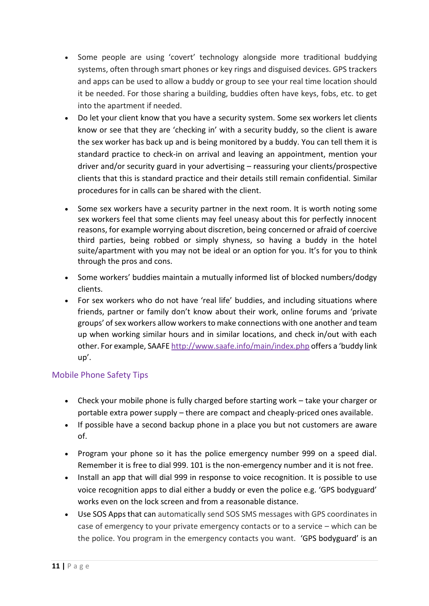- Some people are using 'covert' technology alongside more traditional buddying systems, often through smart phones or key rings and disguised devices. GPS trackers and apps can be used to allow a buddy or group to see your real time location should it be needed. For those sharing a building, buddies often have keys, fobs, etc. to get into the apartment if needed.
- Do let your client know that you have a security system. Some sex workers let clients know or see that they are 'checking in' with a security buddy, so the client is aware the sex worker has back up and is being monitored by a buddy. You can tell them it is standard practice to check-in on arrival and leaving an appointment, mention your driver and/or security guard in your advertising – reassuring your clients/prospective clients that this is standard practice and their details still remain confidential. Similar procedures for in calls can be shared with the client.
- Some sex workers have a security partner in the next room. It is worth noting some sex workers feel that some clients may feel uneasy about this for perfectly innocent reasons, for example worrying about discretion, being concerned or afraid of coercive third parties, being robbed or simply shyness, so having a buddy in the hotel suite/apartment with you may not be ideal or an option for you. It's for you to think through the pros and cons.
- Some workers' buddies maintain a mutually informed list of blocked numbers/dodgy clients.
- For sex workers who do not have 'real life' buddies, and including situations where friends, partner or family don't know about their work, online forums and 'private groups' of sex workers allow workers to make connections with one another and team up when working similar hours and in similar locations, and check in/out with each other. For example, SAAFE <http://www.saafe.info/main/index.php> offers a 'buddy link up'.

# Mobile Phone Safety Tips

- Check your mobile phone is fully charged before starting work take your charger or portable extra power supply – there are compact and cheaply-priced ones available.
- If possible have a second backup phone in a place you but not customers are aware of.
- Program your phone so it has the police emergency number 999 on a speed dial. Remember it is free to dial 999. 101 is the non-emergency number and it is not free.
- Install an app that will dial 999 in response to voice recognition. It is possible to use voice recognition apps to dial either a buddy or even the police e.g. 'GPS bodyguard' works even on the lock screen and from a reasonable distance.
- Use SOS Apps that can automatically send SOS SMS messages with GPS coordinates in case of emergency to your private emergency contacts or to a service – which can be the police. You program in the emergency contacts you want. 'GPS bodyguard' is an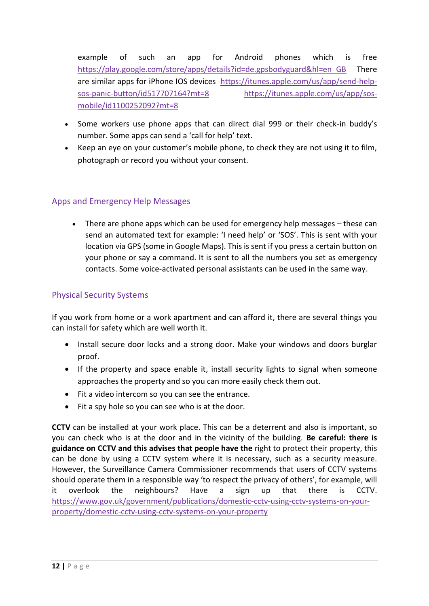example of such an app for Android phones which is free [https://play.google.com/store/apps/details?id=de.gpsbodyguard&hl=en\\_GB](https://play.google.com/store/apps/details?id=de.gpsbodyguard&hl=en_GB) There are similar apps for iPhone IOS devices [https://itunes.apple.com/us/app/send-help](https://itunes.apple.com/us/app/send-help-sos-panic-button/id517707164?mt=8)[sos-panic-button/id517707164?mt=8](https://itunes.apple.com/us/app/send-help-sos-panic-button/id517707164?mt=8) [https://itunes.apple.com/us/app/sos](https://itunes.apple.com/us/app/sos-mobile/id1100252092?mt=8)[mobile/id1100252092?mt=8](https://itunes.apple.com/us/app/sos-mobile/id1100252092?mt=8)

- Some workers use phone apps that can direct dial 999 or their check-in buddy's number. Some apps can send a 'call for help' text.
- Keep an eye on your customer's mobile phone, to check they are not using it to film, photograph or record you without your consent.

# Apps and Emergency Help Messages

• There are phone apps which can be used for emergency help messages – these can send an automated text for example: 'I need help' or 'SOS'. This is sent with your location via GPS (some in Google Maps). This is sent if you press a certain button on your phone or say a command. It is sent to all the numbers you set as emergency contacts. Some voice-activated personal assistants can be used in the same way.

# Physical Security Systems

If you work from home or a work apartment and can afford it, there are several things you can install for safety which are well worth it.

- Install secure door locks and a strong door. Make your windows and doors burglar proof.
- If the property and space enable it, install security lights to signal when someone approaches the property and so you can more easily check them out.
- Fit a video intercom so you can see the entrance.
- Fit a spy hole so you can see who is at the door.

**CCTV** can be installed at your work place. This can be a deterrent and also is important, so you can check who is at the door and in the vicinity of the building. **Be careful: there is guidance on CCTV and this advises that people have the** right to protect their property, this can be done by using a CCTV system where it is necessary, such as a security measure. However, the Surveillance Camera Commissioner recommends that users of CCTV systems should operate them in a responsible way 'to respect the privacy of others', for example, will it overlook the neighbours? Have a sign up that there is CCTV. [https://www.gov.uk/government/publications/domestic-cctv-using-cctv-systems-on-your](https://www.gov.uk/government/publications/domestic-cctv-using-cctv-systems-on-your-property/domestic-cctv-using-cctv-systems-on-your-property)[property/domestic-cctv-using-cctv-systems-on-your-property](https://www.gov.uk/government/publications/domestic-cctv-using-cctv-systems-on-your-property/domestic-cctv-using-cctv-systems-on-your-property)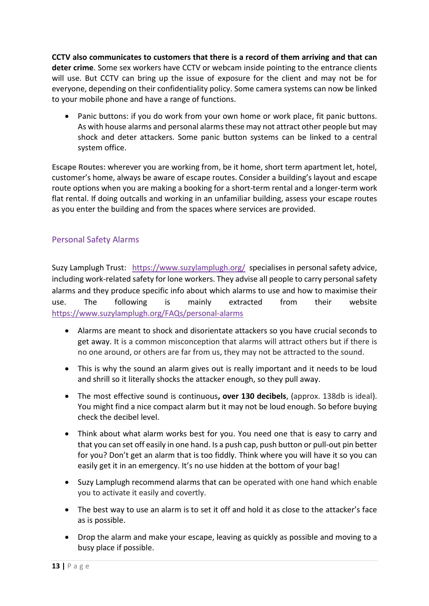**CCTV also communicates to customers that there is a record of them arriving and that can deter crime**. Some sex workers have CCTV or webcam inside pointing to the entrance clients will use. But CCTV can bring up the issue of exposure for the client and may not be for everyone, depending on their confidentiality policy. Some camera systems can now be linked to your mobile phone and have a range of functions.

• Panic buttons: if you do work from your own home or work place, fit panic buttons. As with house alarms and personal alarms these may not attract other people but may shock and deter attackers. Some panic button systems can be linked to a central system office.

**Escape Routes:** wherever you are working from, be it home, short term apartment let, hotel, customer's home, always be aware of escape routes. Consider a building's layout and escape route options when you are making a booking for a short-term rental and a longer-term work flat rental. If doing outcalls and working in an unfamiliar building, assess your escape routes as you enter the building and from the spaces where services are provided.

# Personal Safety Alarms

[Suzy Lamplugh Trust:](file://///uol.le.ac.uk/root/staff/home/r/rc377/Downloads/Suzy%20Lamplugh%20Trust) <https://www.suzylamplugh.org/>specialises in personal safety advice, including work-related safety for lone workers. They advise all people to carry personal safety alarms and they produce specific info about which alarms to use and how to maximise their use. The following is mainly extracted from their website <https://www.suzylamplugh.org/FAQs/personal-alarms>

- Alarms are meant to shock and disorientate attackers so you have crucial seconds to get away. It is a common misconception that alarms will attract others but if there is no one around, or others are far from us, they may not be attracted to the sound.
- This is why the sound an alarm gives out is really important and it needs to be loud and shrill so it literally shocks the attacker enough, so they pull away.
- The most effective sound is continuous**, over 130 decibels**, (approx. 138db is ideal). You might find a nice compact alarm but it may not be loud enough. So before buying check the decibel level.
- Think about what alarm works best for you. You need one that is easy to carry and that you can set off easily in one hand. Is a push cap, push button or pull-out pin better for you? Don't get an alarm that is too fiddly. Think where you will have it so you can easily get it in an emergency. It's no use hidden at the bottom of your bag!
- Suzy Lamplugh recommend alarms that can be operated with one hand which enable you to activate it easily and covertly.
- The best way to use an alarm is to set it off and hold it as close to the attacker's face as is possible.
- Drop the alarm and make your escape, leaving as quickly as possible and moving to a busy place if possible.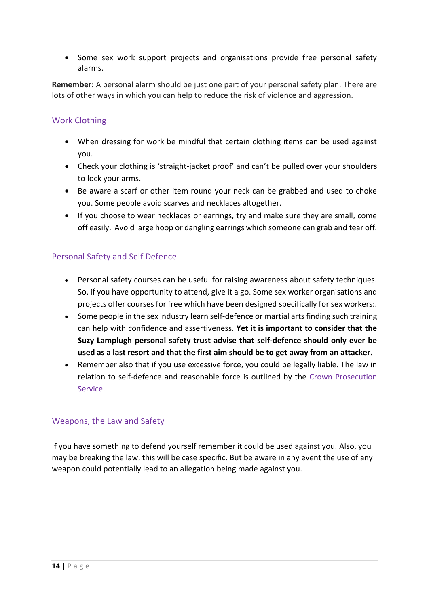• Some sex work support projects and organisations provide free personal safety alarms.

**Remember:** A personal alarm should be just one part of your personal safety plan. There are lots of other ways in which you can help to reduce the risk of violence and aggression.

#### Work Clothing

- When dressing for work be mindful that certain clothing items can be used against you.
- Check your clothing is 'straight-jacket proof' and can't be pulled over your shoulders to lock your arms.
- Be aware a scarf or other item round your neck can be grabbed and used to choke you. Some people avoid scarves and necklaces altogether.
- If you choose to wear necklaces or earrings, try and make sure they are small, come off easily. Avoid large hoop or dangling earrings which someone can grab and tear off.

#### Personal Safety and Self Defence

- Personal safety courses can be useful for raising awareness about safety techniques. So, if you have opportunity to attend, give it a go. Some sex worker organisations and projects offer courses for free which have been designed specifically for sex workers:.
- Some people in the sex industry learn self-defence or martial arts finding such training can help with confidence and assertiveness. **Yet it is important to consider that the Suzy Lamplugh personal safety trust advise that self-defence should only ever be used as a last resort and that the first aim should be to get away from an attacker.**
- Remember also that if you use excessive force, you could be legally liable. The law in relation to self-defence and reasonable force is outlined by the [Crown Prosecution](https://www.cps.gov.uk/legal-guidance/self-defence-and-prevention-crime)  [Service.](https://www.cps.gov.uk/legal-guidance/self-defence-and-prevention-crime)

#### Weapons, the Law and Safety

If you have something to defend yourself remember it could be used against you. Also, you may be breaking the law, this will be case specific. But be aware in any event the use of any weapon could potentially lead to an allegation being made against you.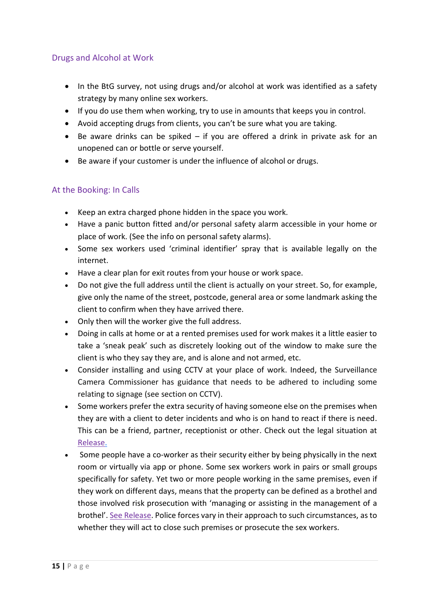# Drugs and Alcohol at Work

- In the BtG survey, not using drugs and/or alcohol at work was identified as a safety strategy by many online sex workers.
- If you do use them when working, try to use in amounts that keeps you in control.
- Avoid accepting drugs from clients, you can't be sure what you are taking.
- Be aware drinks can be spiked if you are offered a drink in private ask for an unopened can or bottle or serve yourself.
- Be aware if your customer is under the influence of alcohol or drugs.

#### At the Booking: In Calls

- Keep an extra charged phone hidden in the space you work.
- Have a panic button fitted and/or personal safety alarm accessible in your home or place of work. (See the info on personal safety alarms).
- Some sex workers used 'criminal identifier' spray that is available legally on the internet.
- Have a clear plan for exit routes from your house or work space.
- Do not give the full address until the client is actually on your street. So, for example, give only the name of the street, postcode, general area or some landmark asking the client to confirm when they have arrived there.
- Only then will the worker give the full address.
- Doing in calls at home or at a rented premises used for work makes it a little easier to take a 'sneak peak' such as discretely looking out of the window to make sure the client is who they say they are, and is alone and not armed, etc.
- Consider installing and using CCTV at your place of work. Indeed, the Surveillance Camera Commissioner has guidance that needs to be adhered to including some relating to signage (see section on CCTV).
- Some workers prefer the extra security of having someone else on the premises when they are with a client to deter incidents and who is on hand to react if there is need. This can be a friend, partner, receptionist or other. Check out the legal situation at [Release.](https://www.release.org.uk/publications/sex-workers-and-law-booklet)
- Some people have a co-worker as their security either by being physically in the next room or virtually via app or phone. Some sex workers work in pairs or small groups specifically for safety. Yet two or more people working in the same premises, even if they work on different days, means that the property can be defined as a brothel and those involved risk prosecution with 'managing or assisting in the management of a brothel'. [See Release.](https://www.release.org.uk/publications/sex-workers-and-law-booklet) Police forces vary in their approach to such circumstances, as to whether they will act to close such premises or prosecute the sex workers.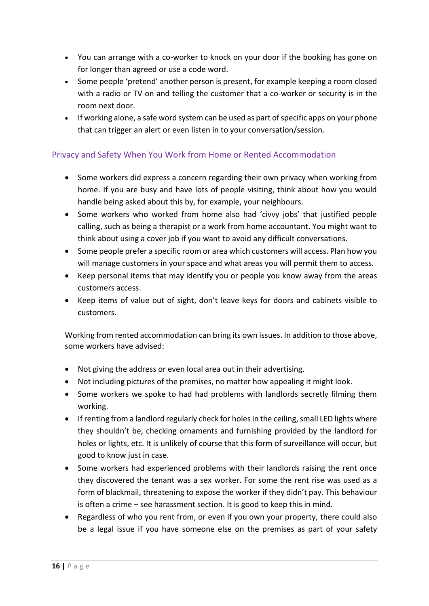- You can arrange with a co-worker to knock on your door if the booking has gone on for longer than agreed or use a code word.
- Some people 'pretend' another person is present, for example keeping a room closed with a radio or TV on and telling the customer that a co-worker or security is in the room next door.
- If working alone, a safe word system can be used as part of specific apps on your phone that can trigger an alert or even listen in to your conversation/session.

# Privacy and Safety When You Work from Home or Rented Accommodation

- Some workers did express a concern regarding their own privacy when working from home. If you are busy and have lots of people visiting, think about how you would handle being asked about this by, for example, your neighbours.
- Some workers who worked from home also had 'civvy jobs' that justified people calling, such as being a therapist or a work from home accountant. You might want to think about using a cover job if you want to avoid any difficult conversations.
- Some people prefer a specific room or area which customers will access. Plan how you will manage customers in your space and what areas you will permit them to access.
- Keep personal items that may identify you or people you know away from the areas customers access.
- Keep items of value out of sight, don't leave keys for doors and cabinets visible to customers.

Working from rented accommodation can bring its own issues. In addition to those above, some workers have advised:

- Not giving the address or even local area out in their advertising.
- Not including pictures of the premises, no matter how appealing it might look.
- Some workers we spoke to had had problems with landlords secretly filming them working.
- If renting from a landlord regularly check for holes in the ceiling, small LED lights where they shouldn't be, checking ornaments and furnishing provided by the landlord for holes or lights, etc. It is unlikely of course that this form of surveillance will occur, but good to know just in case.
- Some workers had experienced problems with their landlords raising the rent once they discovered the tenant was a sex worker. For some the rent rise was used as a form of blackmail, threatening to expose the worker if they didn't pay. This behaviour is often a crime – see harassment section. It is good to keep this in mind.
- Regardless of who you rent from, or even if you own your property, there could also be a legal issue if you have someone else on the premises as part of your safety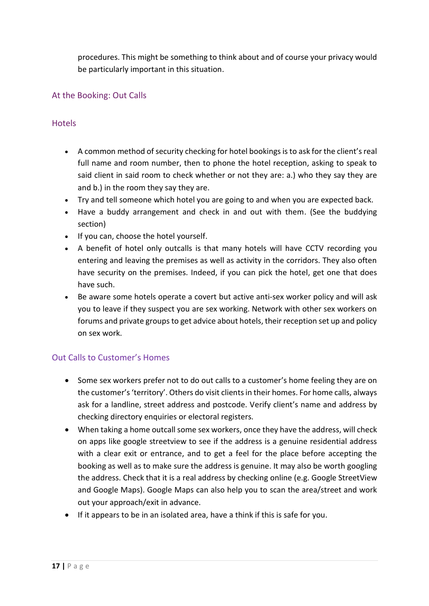procedures. This might be something to think about and of course your privacy would be particularly important in this situation.

# At the Booking: Out Calls

# **Hotels**

- A common method of security checking for hotel bookings is to ask for the client's real full name and room number, then to phone the hotel reception, asking to speak to said client in said room to check whether or not they are: a.) who they say they are and b.) in the room they say they are.
- Try and tell someone which hotel you are going to and when you are expected back.
- Have a buddy arrangement and check in and out with them. (See the buddying section)
- If you can, choose the hotel yourself.
- A benefit of hotel only outcalls is that many hotels will have CCTV recording you entering and leaving the premises as well as activity in the corridors. They also often have security on the premises. Indeed, if you can pick the hotel, get one that does have such.
- Be aware some hotels operate a covert but active anti-sex worker policy and will ask you to leave if they suspect you are sex working. Network with other sex workers on forums and private groups to get advice about hotels, their reception set up and policy on sex work.

# Out Calls to Customer's Homes

- Some sex workers prefer not to do out calls to a customer's home feeling they are on the customer's 'territory'. Others do visit clients in their homes. For home calls, always ask for a landline, street address and postcode. Verify client's name and address by checking directory enquiries or electoral registers.
- When taking a home outcall some sex workers, once they have the address, will check on apps like google streetview to see if the address is a genuine residential address with a clear exit or entrance, and to get a feel for the place before accepting the booking as well as to make sure the address is genuine. It may also be worth googling the address. Check that it is a real address by checking online (e.g. Google StreetView and Google Maps). Google Maps can also help you to scan the area/street and work out your approach/exit in advance.
- If it appears to be in an isolated area, have a think if this is safe for you.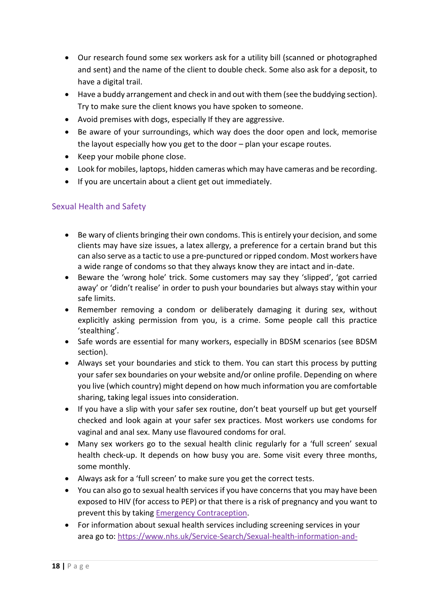- Our research found some sex workers ask for a utility bill (scanned or photographed and sent) and the name of the client to double check. Some also ask for a deposit, to have a digital trail.
- Have a buddy arrangement and check in and out with them (see the buddying section). Try to make sure the client knows you have spoken to someone.
- Avoid premises with dogs, especially If they are aggressive.
- Be aware of your surroundings, which way does the door open and lock, memorise the layout especially how you get to the door – plan your escape routes.
- Keep your mobile phone close.
- Look for mobiles, laptops, hidden cameras which may have cameras and be recording.
- If you are uncertain about a client get out immediately.

# Sexual Health and Safety

- Be wary of clients bringing their own condoms. This is entirely your decision, and some clients may have size issues, a latex allergy, a preference for a certain brand but this can also serve as a tactic to use a pre-punctured or ripped condom. Most workers have a wide range of condoms so that they always know they are intact and in-date.
- Beware the 'wrong hole' trick. Some customers may say they 'slipped', 'got carried away' or 'didn't realise' in order to push your boundaries but always stay within your safe limits.
- Remember removing a condom or deliberately damaging it during sex, without explicitly asking permission from you, is a crime. Some people call this practice 'stealthing'.
- Safe words are essential for many workers, especially in BDSM scenarios (see BDSM section).
- Always set your boundaries and stick to them. You can start this process by putting your safer sex boundaries on your website and/or online profile. Depending on where you live (which country) might depend on how much information you are comfortable sharing, taking legal issues into consideration.
- If you have a slip with your safer sex routine, don't beat yourself up but get yourself checked and look again at your safer sex practices. Most workers use condoms for vaginal and anal sex. Many use flavoured condoms for oral.
- Many sex workers go to the sexual health clinic regularly for a 'full screen' sexual health check-up. It depends on how busy you are. Some visit every three months, some monthly.
- Always ask for a 'full screen' to make sure you get the correct tests.
- You can also go to sexual health services if you have concerns that you may have been exposed to HIV (for access to PEP) or that there is a risk of pregnancy and you want to prevent this by taking [Emergency Contraception.](https://www.nhs.uk/conditions/contraception/emergency-contraception/)
- For information about sexual health services including screening services in your area go to: [https://www.nhs.uk/Service-Search/Sexual-health-information-and-](https://www.nhs.uk/Service-Search/Sexual-health-information-and-support/LocationSearch/734)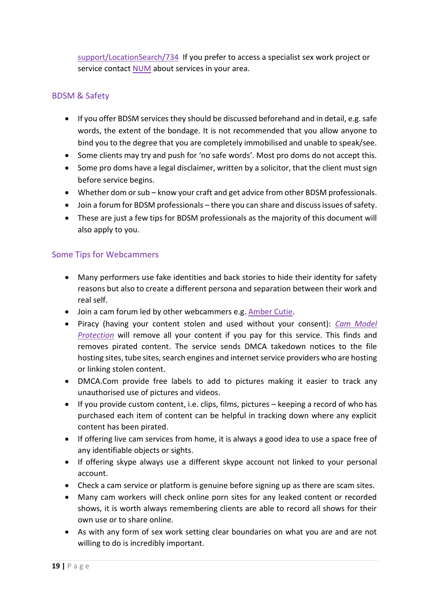[support/LocationSearch/734](https://www.nhs.uk/Service-Search/Sexual-health-information-and-support/LocationSearch/734) If you prefer to access a specialist sex work project or service contact [NUM](https://uknswp.org/um/) about services in your area.

# BDSM & Safety

- If you offer BDSM services they should be discussed beforehand and in detail, e.g. safe words, the extent of the bondage. It is not recommended that you allow anyone to bind you to the degree that you are completely immobilised and unable to speak/see.
- Some clients may try and push for 'no safe words'. Most pro doms do not accept this.
- Some pro doms have a legal disclaimer, written by a solicitor, that the client must sign before service begins.
- Whether dom or sub know your craft and get advice from other BDSM professionals.
- Join a forum for BDSM professionals there you can share and discuss issues of safety.
- These are just a few tips for BDSM professionals as the majority of this document will also apply to you.

#### Some Tips for Webcammers

- Many performers use fake identities and back stories to hide their identity for safety reasons but also to create a different persona and separation between their work and real self.
- Join a cam forum led by other webcammers e.g. [Amber Cutie.](https://www.ambercutie.com/forums/)
- Piracy (having your content stolen and used without your consent): *Cam [Model](https://cammodelprotection.com/) [Protection](https://cammodelprotection.com/)* will remove all your content if you pay for this service. This finds and removes pirated content. The service sends DMCA takedown notices to the file hosting sites, tube sites, search engines and internet service providers who are hosting or linking stolen content.
- DMCA.Com provide free labels to add to pictures making it easier to track any unauthorised use of pictures and videos.
- If you provide custom content, i.e. clips, films, pictures keeping a record of who has purchased each item of content can be helpful in tracking down where any explicit content has been pirated.
- If offering live cam services from home, it is always a good idea to use a space free of any identifiable objects or sights.
- If offering skype always use a different skype account not linked to your personal account.
- Check a cam service or platform is genuine before signing up as there are scam sites.
- Many cam workers will check online porn sites for any leaked content or recorded shows, it is worth always remembering clients are able to record all shows for their own use or to share online.
- As with any form of sex work setting clear boundaries on what you are and are not willing to do is incredibly important.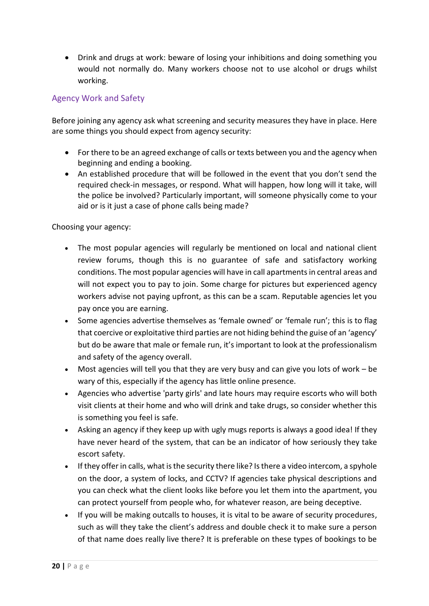• Drink and drugs at work: beware of losing your inhibitions and doing something you would not normally do. Many workers choose not to use alcohol or drugs whilst working.

# Agency Work and Safety

Before joining any agency ask what screening and security measures they have in place. Here are some things you should expect from agency security:

- For there to be an agreed exchange of calls or texts between you and the agency when beginning and ending a booking.
- An established procedure that will be followed in the event that you don't send the required check-in messages, or respond. What will happen, how long will it take, will the police be involved? Particularly important, will someone physically come to your aid or is it just a case of phone calls being made?

Choosing your agency:

- The most popular agencies will regularly be mentioned on local and national client review forums, though this is no guarantee of safe and satisfactory working conditions. The most popular agencies will have in call apartments in central areas and will not expect you to pay to join. Some charge for pictures but experienced agency workers advise not paying upfront, as this can be a scam. Reputable agencies let you pay once you are earning.
- Some agencies advertise themselves as 'female owned' or 'female run'; this is to flag that coercive or exploitative third parties are not hiding behind the guise of an 'agency' but do be aware that male or female run, it's important to look at the professionalism and safety of the agency overall.
- Most agencies will tell you that they are very busy and can give you lots of work be wary of this, especially if the agency has little online presence.
- Agencies who advertise 'party girls' and late hours may require escorts who will both visit clients at their home and who will drink and take drugs, so consider whether this is something you feel is safe.
- Asking an agency if they keep up with ugly mugs reports is always a good idea! If they have never heard of the system, that can be an indicator of how seriously they take escort safety.
- If they offer in calls, what is the security there like? Is there a video intercom, a spyhole on the door, a system of locks, and CCTV? If agencies take physical descriptions and you can check what the client looks like before you let them into the apartment, you can protect yourself from people who, for whatever reason, are being deceptive.
- If you will be making outcalls to houses, it is vital to be aware of security procedures, such as will they take the client's address and double check it to make sure a person of that name does really live there? It is preferable on these types of bookings to be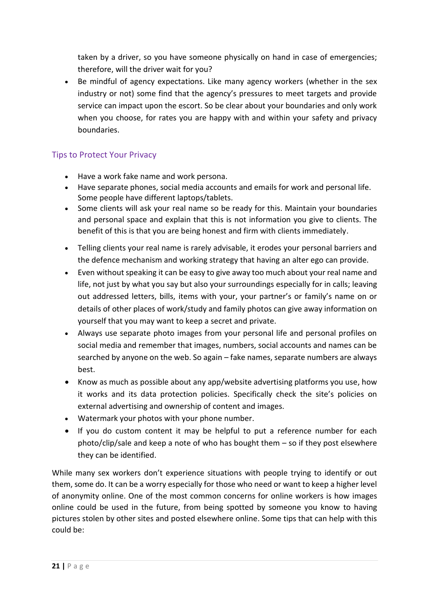taken by a driver, so you have someone physically on hand in case of emergencies; therefore, will the driver wait for you?

• Be mindful of agency expectations. Like many agency workers (whether in the sex industry or not) some find that the agency's pressures to meet targets and provide service can impact upon the escort. So be clear about your boundaries and only work when you choose, for rates you are happy with and within your safety and privacy boundaries.

# Tips to Protect Your Privacy

- Have a work fake name and work persona.
- Have separate phones, social media accounts and emails for work and personal life. Some people have different laptops/tablets.
- Some clients will ask your real name so be ready for this. Maintain your boundaries and personal space and explain that this is not information you give to clients. The benefit of this is that you are being honest and firm with clients immediately.
- Telling clients your real name is rarely advisable, it erodes your personal barriers and the defence mechanism and working strategy that having an alter ego can provide.
- Even without speaking it can be easy to give away too much about your real name and life, not just by what you say but also your surroundings especially for in calls; leaving out addressed letters, bills, items with your, your partner's or family's name on or details of other places of work/study and family photos can give away information on yourself that you may want to keep a secret and private.
- Always use separate photo images from your personal life and personal profiles on social media and remember that images, numbers, social accounts and names can be searched by anyone on the web. So again – fake names, separate numbers are always best.
- Know as much as possible about any app/website advertising platforms you use, how it works and its data protection policies. Specifically check the site's policies on external advertising and ownership of content and images.
- Watermark your photos with your phone number.
- If you do custom content it may be helpful to put a reference number for each photo/clip/sale and keep a note of who has bought them – so if they post elsewhere they can be identified.

While many sex workers don't experience situations with people trying to identify or out them, some do. It can be a worry especially for those who need or want to keep a higher level of anonymity online. One of the most common concerns for online workers is how images online could be used in the future, from being spotted by someone you know to having pictures stolen by other sites and posted elsewhere online. Some tips that can help with this could be: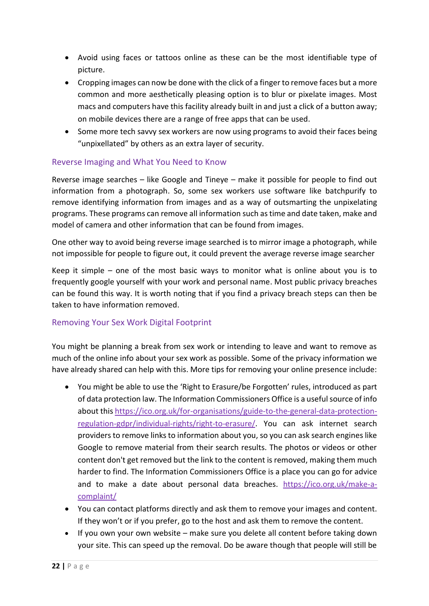- Avoid using faces or tattoos online as these can be the most identifiable type of picture.
- Cropping images can now be done with the click of a finger to remove faces but a more common and more [aesthetically](https://www.google.com/search?client=firefox-b&q=spell+aesthetically&spell=1&sa=X&ved=2ahUKEwjK-pD6g8zcAhVCUlAKHeuDArIQkeECKAB6BAgMECU&biw=1280&bih=910) pleasing option is to blur or pixelate images. Most macs and computers have this facility already built in and just a click of a button away; on mobile devices there are a range of free apps that can be used.
- Some more tech savvy sex workers are now using programs to avoid their faces being "unpixellated" by others as an extra layer of security.

#### Reverse Imaging and What You Need to Know

Reverse image searches – like Google and Tineye – make it possible for people to find out information from a photograph. So, some sex workers use software like batchpurify to remove identifying information from images and as a way of outsmarting the unpixelating programs. These programs can remove all information such as time and date taken, make and model of camera and other information that can be found from images.

One other way to avoid being reverse image searched is to mirror image a photograph, while not impossible for people to figure out, it could prevent the average reverse image searcher

Keep it simple – one of the most basic ways to monitor what is online about you is to frequently google yourself with your work and personal name. Most public privacy breaches can be found this way. It is worth noting that if you find a privacy breach steps can then be taken to have information removed.

# Removing Your Sex Work Digital Footprint

You might be planning a break from sex work or intending to leave and want to remove as much of the online info about your sex work as possible. Some of the privacy information we have already shared can help with this. More tips for removing your online presence include:

- You might be able to use the 'Right to Erasure/be Forgotten' rules, introduced as part of data protection law. The Information Commissioners Office is a usefulsource of info about this [https://ico.org.uk/for-organisations/guide-to-the-general-data-protection](https://ico.org.uk/for-organisations/guide-to-the-general-data-protection-regulation-gdpr/individual-rights/right-to-erasure/)[regulation-gdpr/individual-rights/right-to-erasure/.](https://ico.org.uk/for-organisations/guide-to-the-general-data-protection-regulation-gdpr/individual-rights/right-to-erasure/) You can ask internet search providers to remove links to information about you, so you can ask search engines like Google to remove material from their search results. The photos or videos or other content don't get removed but the link to the content is removed, making them much harder to find. The Information Commissioners Office is a place you can go for advice and to make a date about personal data breaches. [https://ico.org.uk/make-a](https://ico.org.uk/make-a-complaint/)[complaint/](https://ico.org.uk/make-a-complaint/)
- You can contact platforms directly and ask them to remove your images and content. If they won't or if you prefer, go to the host and ask them to remove the content.
- If you own your own website make sure you delete all content before taking down your site. This can speed up the removal. Do be aware though that people will still be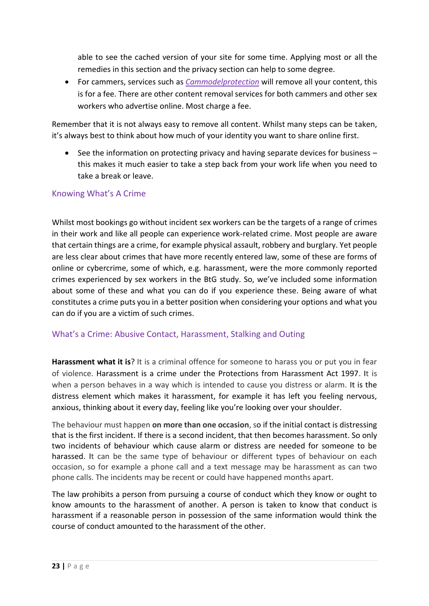able to see the cached version of your site for some time. Applying most or all the remedies in this section and the privacy section can help to some degree.

• For cammers, services such as *[Cammodelprotection](https://cammodelprotection.com/)* will remove all your content, this is for a fee. There are other content removal services for both cammers and other sex workers who advertise online. Most charge a fee.

Remember that it is not always easy to remove all content. Whilst many steps can be taken, it's always best to think about how much of your identity you want to share online first.

• See the information on protecting privacy and having separate devices for business – this makes it much easier to take a step back from your work life when you need to take a break or leave.

#### Knowing What's A Crime

Whilst most bookings go without incident sex workers can be the targets of a range of crimes in their work and like all people can experience work-related crime. Most people are aware that certain things are a crime, for example physical assault, robbery and burglary. Yet people are less clear about crimes that have more recently entered law, some of these are forms of online or cybercrime, some of which, e.g. harassment, were the more commonly reported crimes experienced by sex workers in the BtG study. So, we've included some information about some of these and what you can do if you experience these. Being aware of what constitutes a crime puts you in a better position when considering your options and what you can do if you are a victim of such crimes.

#### What's a Crime: Abusive Contact, Harassment, Stalking and Outing

**Harassment what it is**? It is a criminal offence for someone to harass you or put you in fear of violence. Harassment is a crime under the Protections from Harassment Act 1997. It is when a person behaves in a way which is intended to cause you distress or alarm. It is the distress element which makes it harassment, for example it has left you feeling nervous, anxious, thinking about it every day, feeling like you're looking over your shoulder.

The behaviour must happen **on more than one occasion**, so if the initial contact is distressing that is the first incident. If there is a second incident, that then becomes harassment. So only two incidents of behaviour which cause alarm or distress are needed for someone to be harassed. It can be the same type of behaviour or different types of behaviour on each occasion, so for example a phone call and a text message may be harassment as can two phone calls. The incidents may be recent or could have happened months apart.

The law prohibits a person from pursuing a course of conduct which they know or ought to know amounts to the harassment of another. A person is taken to know that conduct is harassment if a reasonable person in possession of the same information would think the course of conduct amounted to the harassment of the other.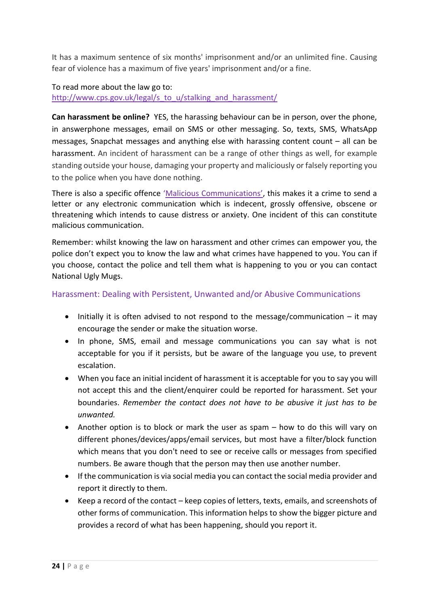It has a maximum sentence of six months' imprisonment and/or an unlimited fine. Causing fear of violence has a maximum of five years' imprisonment and/or a fine.

#### To read more about the law go to: [http://www.cps.gov.uk/legal/s\\_to\\_u/stalking\\_and\\_harassment/](http://www.cps.gov.uk/legal/s_to_u/stalking_and_harassment/)

**Can harassment be online?** YES, the harassing behaviour can be in person, over the phone, in answerphone messages, email on SMS or other messaging. So, texts, SMS, WhatsApp messages, Snapchat messages and anything else with harassing content count – all can be harassment. An incident of harassment can be a range of other things as well, for example standing outside your house, damaging your property and maliciously or falsely reporting you to the police when you have done nothing.

There is also a specific offence '[Malicious Communications](http://www.legislation.gov.uk/ukpga/1988/27)', this makes it a crime to send a letter or any electronic communication which is indecent, grossly offensive, obscene or threatening which intends to cause distress or anxiety. One incident of this can constitute malicious communication.

Remember: whilst knowing the law on harassment and other crimes can empower you, the police don't expect you to know the law and what crimes have happened to you. You can if you choose, contact the police and tell them what is happening to you or you can contact National Ugly Mugs.

#### Harassment: Dealing with Persistent, Unwanted and/or Abusive Communications

- Initially it is often advised to not respond to the message/communication it may encourage the sender or make the situation worse.
- In phone, SMS, email and message communications you can say what is not acceptable for you if it persists, but be aware of the language you use, to prevent escalation.
- When you face an initial incident of harassment it is acceptable for you to say you will not accept this and the client/enquirer could be reported for harassment. Set your boundaries. *Remember the contact does not have to be abusive it just has to be unwanted.*
- Another option is to block or mark the user as spam how to do this will vary on different phones/devices/apps/email services, but most have a filter/block function which means that you don't need to see or receive calls or messages from specified numbers. Be aware though that the person may then use another number.
- If the communication is via social media you can contact the social media provider and report it directly to them.
- Keep a record of the contact keep copies of letters, texts, emails, and screenshots of other forms of communication. This information helps to show the bigger picture and provides a record of what has been happening, should you report it.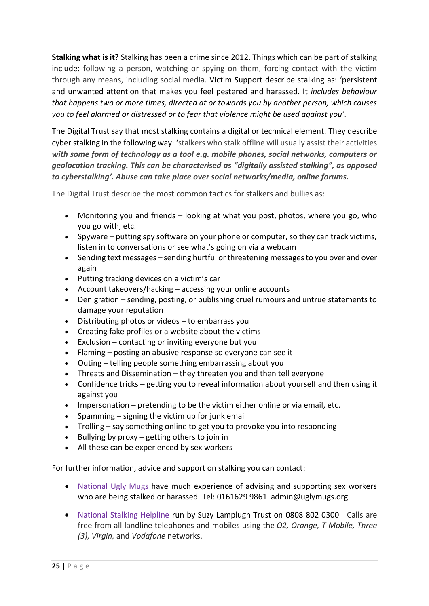**Stalking what is it?** Stalking has been a crime since 2012. Things which can be part of stalking include: following a person, watching or spying on them, forcing contact with the victim through any means, including social media. Victim Support describe stalking as: 'persistent and unwanted attention that makes you feel pestered and harassed. It *includes behaviour that happens two or more times, directed at or towards you by another person, which causes you to feel alarmed or distressed or to fear that violence might be used against you'.*

The Digital Trust say that most stalking contains a digital or technical element. They describe cyber stalking in the following way: 'stalkers who stalk offline will usually assist their activities *with some form of technology as a tool e.g. mobile phones, social networks, computers or geolocation tracking. This can be characterised as "digitally assisted stalking", as opposed to cyberstalking'. Abuse can take place over social networks/media, online forums.* 

The Digital Trust describe the most common tactics for stalkers and bullies as:

- Monitoring you and friends looking at what you post, photos, where you go, who you go with, etc.
- Spyware putting spy software on your phone or computer, so they can track victims, listen in to conversations or see what's going on via a webcam
- Sending text messages sending hurtful or threatening messages to you over and over again
- Putting tracking devices on a victim's car
- Account takeovers/hacking accessing your online accounts
- Denigration sending, posting, or publishing cruel rumours and untrue statements to damage your reputation
- Distributing photos or videos to embarrass you
- Creating fake profiles or a website about the victims
- Exclusion contacting or inviting everyone but you
- Flaming posting an abusive response so everyone can see it
- Outing telling people something embarrassing about you
- Threats and Dissemination they threaten you and then tell everyone
- Confidence tricks getting you to reveal information about yourself and then using it against you
- Impersonation pretending to be the victim either online or via email, etc.
- Spamming signing the victim up for junk email
- Trolling say something online to get you to provoke you into responding
- Bullying by proxy getting others to join in
- All these can be experienced by sex workers

For further information, advice and support on stalking you can contact:

- National Ugly Mugs have much experience of advising and supporting sex workers who are being stalked or harassed. Tel: 0161629 9861 admin@uglymugs.org
- [National Stalking Helpline](https://www.suzylamplugh.org/Pages/Category/national-stalking-helpline) run by Suzy Lamplugh Trust on [0808 802 0300](tel:08088020300) Calls are free from all landline telephones and mobiles using the *O2, Orange, T Mobile, Three (3), Virgin,* and *Vodafone* networks.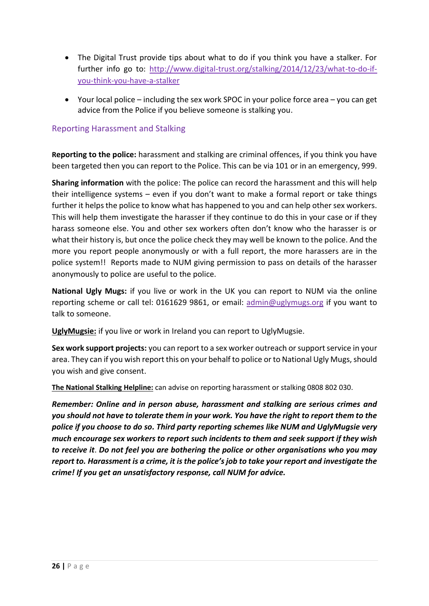- The Digital Trust provide tips about what to do if you think you have a stalker. For further info go to: [http://www.digital-trust.org/stalking/2014/12/23/what-to-do-if](http://www.digital-trust.org/stalking/2014/12/23/what-to-do-if-you-think-you-have-a-stalker)[you-think-you-have-a-stalker](http://www.digital-trust.org/stalking/2014/12/23/what-to-do-if-you-think-you-have-a-stalker)
- Your local police including the sex work SPOC in your police force area you can get advice from the Police if you believe someone is stalking you.

#### Reporting Harassment and Stalking

**Reporting to the police:** harassment and stalking are criminal offences, if you think you have been targeted then you can report to the Police. This can be via 101 or in an emergency, 999.

**Sharing information** with the police: The police can record the harassment and this will help their intelligence systems – even if you don't want to make a formal report or take things further it helps the police to know what has happened to you and can help other sex workers. This will help them investigate the harasser if they continue to do this in your case or if they harass someone else. You and other sex workers often don't know who the harasser is or what their history is, but once the police check they may well be known to the police. And the more you report people anonymously or with a full report, the more harassers are in the police system!! Reports made to NUM giving permission to pass on details of the harasser anonymously to police are useful to the police.

**[National Ugly Mugs:](https://www.uglymugs.org/)** if you live or work in the UK you can report to NUM via the online reporting scheme or call tel: 0161629 9861, or email: [admin@uglymugs.org](mailto:admin@uglymugs.org) if you want to talk to someone.

**[UglyMugsie:](https://uglymugs.ie/)** if you live or work in Ireland you can report to UglyMugsie.

**Sex work support projects:** you can report to a sex worker outreach or support service in your area. They can if you wish report this on your behalf to police or to National Ugly Mugs, should you wish and give consent.

**[The National Stalking Helpline:](https://www.suzylamplugh.org/helpline)** can advise on reporting harassment or stalking 0808 802 030.

*Remember: Online and in person abuse, harassment and stalking are serious crimes and you should not have to tolerate them in your work. You have the right to report them to the police if you choose to do so. Third party reporting schemes like NUM and UglyMugsie very much encourage sex workers to report such incidents to them and seek support if they wish to receive it*. *Do not feel you are bothering the police or other organisations who you may report to. Harassment is a crime, it is the police's job to take your report and investigate the crime! If you get an unsatisfactory response, call NUM for advice.*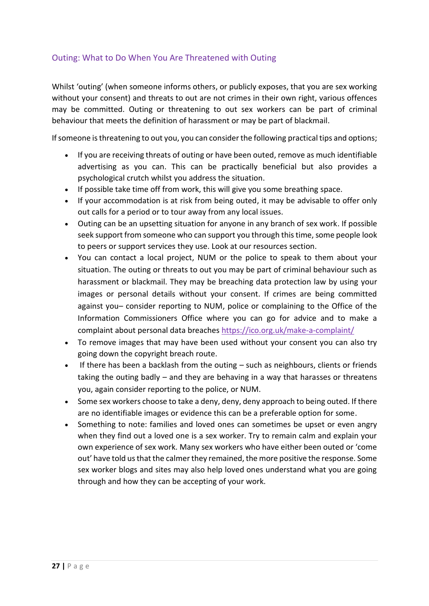# Outing: What to Do When You Are Threatened with Outing

Whilst 'outing' (when someone informs others, or publicly exposes, that you are sex working without your consent) and threats to out are not crimes in their own right, various offences may be committed. Outing or threatening to out sex workers can be part of criminal behaviour that meets the definition of harassment or may be part of blackmail.

If someone is threatening to out you, you can consider the following practical tips and options;

- If you are receiving threats of outing or have been outed, remove as much identifiable advertising as you can. This can be practically beneficial but also provides a psychological crutch whilst you address the situation.
- If possible take time off from work, this will give you some breathing space.
- If your accommodation is at risk from being outed, it may be advisable to offer only out calls for a period or to tour away from any local issues.
- Outing can be an upsetting situation for anyone in any branch of sex work. If possible seek support from someone who can support you through this time, some people look to peers or support services they use. Look at our resources section.
- You can contact a local project, NUM or the police to speak to them about your situation. The outing or threats to out you may be part of criminal behaviour such as harassment or blackmail. They may be breaching data protection law by using your images or personal details without your consent. If crimes are being committed against you– consider reporting to NUM, police or complaining to the Office of the Information Commissioners Office where you can go for advice and to make a complaint about personal data breaches <https://ico.org.uk/make-a-complaint/>
- To remove images that may have been used without your consent you can also try going down the copyright breach route.
- If there has been a backlash from the outing  $-$  such as neighbours, clients or friends taking the outing badly – and they are behaving in a way that harasses or threatens you, again consider reporting to the police, or NUM.
- Some sex workers choose to take a deny, deny, deny approach to being outed. If there are no identifiable images or evidence this can be a preferable option for some.
- Something to note: families and loved ones can sometimes be upset or even angry when they find out a loved one is a sex worker. Try to remain calm and explain your own experience of sex work. Many sex workers who have either been outed or 'come out' have told us that the calmer they remained, the more positive the response. Some sex worker blogs and sites may also help loved ones understand what you are going through and how they can be accepting of your work.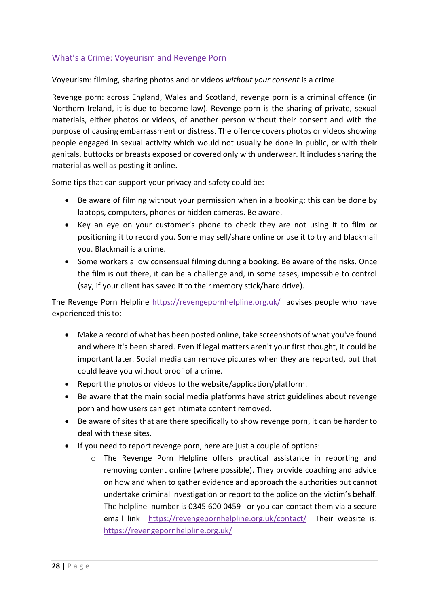# What's a Crime: Voyeurism and Revenge Porn

Voyeurism: filming, sharing photos and or videos *without your consent* is a crime.

Revenge porn: across England, Wales and Scotland, revenge porn is a criminal offence (in Northern Ireland, it is due to become law). Revenge porn is the sharing of private, sexual materials, either photos or videos, of another person without their consent and with the purpose of causing embarrassment or distress. The offence covers photos or videos showing people engaged in sexual activity which would not usually be done in public, or with their genitals, buttocks or breasts exposed or covered only with underwear. It includes sharing the material as well as posting it online.

Some tips that can support your privacy and safety could be:

- Be aware of filming without your permission when in a booking: this can be done by laptops, computers, phones or hidden cameras. Be aware.
- Key an eye on your customer's phone to check they are not using it to film or positioning it to record you. Some may sell/share online or use it to try and blackmail you. Blackmail is a crime.
- Some workers allow consensual filming during a booking. Be aware of the risks. Once the film is out there, it can be a challenge and, in some cases, impossible to control (say, if your client has saved it to their memory stick/hard drive).

The Revenge Porn Helpline<https://revengepornhelpline.org.uk/>advises people who have experienced this to:

- Make a record of what has been posted online, take screenshots of what you've found and where it's been shared. Even if legal matters aren't your first thought, it could be important later. Social media can remove pictures when they are reported, but that could leave you without proof of a crime.
- Report the photos or videos to the website/application/platform.
- Be aware that the main social media platforms have strict guidelines about revenge porn and how users can get intimate content removed.
- Be aware of sites that are there specifically to show revenge porn, it can be harder to deal with these sites.
- If you need to report revenge porn, here are just a couple of options:
	- o The Revenge Porn Helpline offers practical assistance in reporting and removing content online (where possible). They provide coaching and advice on how and when to gather evidence and approach the authorities but cannot undertake criminal investigation or report to the police on the victim's behalf. The helpline number is 0345 600 0459 or you can contact them via a secure email link <https://revengepornhelpline.org.uk/contact/> Their website is: <https://revengepornhelpline.org.uk/>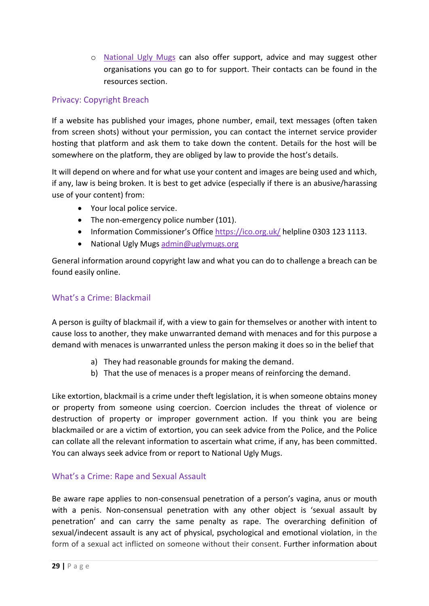o [National Ugly Mugs](https://www.uglymugs.org/) can also offer support, advice and may suggest other organisations you can go to for support. Their contacts can be found in the resources section.

# Privacy: Copyright Breach

If a website has published your images, phone number, email, text messages (often taken from screen shots) without your permission, you can contact the internet service provider hosting that platform and ask them to take down the content. Details for the host will be somewhere on the platform, they are obliged by law to provide the host's details.

It will depend on where and for what use your content and images are being used and which, if any, law is being broken. It is best to get advice (especially if there is an abusive/harassing use of your content) from:

- Your local police service.
- The non-emergency police number (101).
- Information Commissioner's Office <https://ico.org.uk/> helpline 0303 123 1113.
- National Ugly Mugs [admin@uglymugs.org](mailto:admin@uglymugs.org)

General information around copyright law and what you can do to challenge a breach can be found easily online.

# What's a Crime: Blackmail

A person is guilty of blackmail if, with a view to gain for themselves or another with intent to cause loss to another, they make unwarranted demand with menaces and for this purpose a demand with menaces is unwarranted unless the person making it does so in the belief that

- a) They had reasonable grounds for making the demand.
- b) That the use of menaces is a proper means of reinforcing the demand.

Like extortion, blackmail is a crime under theft legislation, it is when someone obtains money or property from someone using coercion. Coercion includes the threat of violence or destruction of property or improper government action. If you think you are being blackmailed or are a victim of extortion, you can seek advice from the Police, and the Police can collate all the relevant information to ascertain what crime, if any, has been committed. You can always seek advice from or report to National Ugly Mugs.

# What's a Crime: Rape and Sexual Assault

Be aware rape applies to non-consensual penetration of a person's vagina, anus or mouth with a penis. Non-consensual penetration with any other object is 'sexual assault by penetration' and can carry the same penalty as rape. The overarching definition of sexual/indecent assault is any act of physical, psychological and emotional violation, in the form of a sexual act inflicted on someone without their consent. Further information about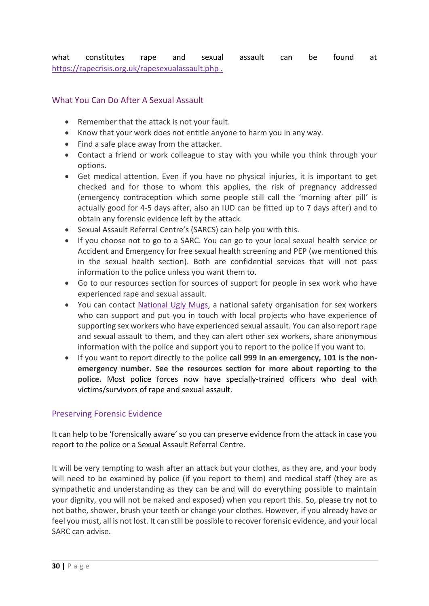what constitutes rape and sexual assault can be found at [https://rapecrisis.org.uk/rapesexualassault.php .](https://rapecrisis.org.uk/rapesexualassault.php%20.)

#### What You Can Do After A Sexual Assault

- Remember that the attack is not your fault.
- Know that your work does not entitle anyone to harm you in any way.
- Find a safe place away from the attacker.
- Contact a friend or work colleague to stay with you while you think through your options.
- Get medical attention. Even if you have no physical injuries, it is important to get checked and for those to whom this applies, the risk of pregnancy addressed (emergency contraception which some people still call the 'morning after pill' is actually good for 4-5 days after, also an IUD can be fitted up to 7 days after) and to obtain any forensic evidence left by the attack.
- Sexual Assault Referral Centre's (SARCS) can help you with this.
- If you choose not to go to a SARC. You can go to your local sexual health service or Accident and Emergency for free sexual health screening and PEP (we mentioned this in the sexual health section). Both are confidential services that will not pass information to the police unless you want them to.
- Go to our resources section for sources of support for people in sex work who have experienced rape and sexual assault.
- You can contact [National Ugly Mugs,](https://www.uglymugs.org/) a national safety organisation for sex workers who can support and put you in touch with local projects who have experience of supporting sex workers who have experienced sexual assault. You can also report rape and sexual assault to them, and they can alert other sex workers, share anonymous information with the police and support you to report to the police if you want to.
- If you want to report directly to the police **call 999 in an emergency, 101 is the nonemergency number. See the resources section for more about reporting to the police.** Most police forces now have specially-trained officers who deal with victims/survivors of rape and sexual assault.

#### Preserving Forensic Evidence

It can help to be 'forensically aware' so you can preserve evidence from the attack in case you report to the police or a Sexual Assault Referral Centre.

It will be very tempting to wash after an attack but your clothes, as they are, and your body will need to be examined by police (if you report to them) and medical staff (they are as sympathetic and understanding as they can be and will do everything possible to maintain your dignity, you will not be naked and exposed) when you report this. So, please try not to not bathe, shower, brush your teeth or change your clothes. However, if you already have or feel you must, all is not lost. It can still be possible to recover forensic evidence, and your local SARC can advise.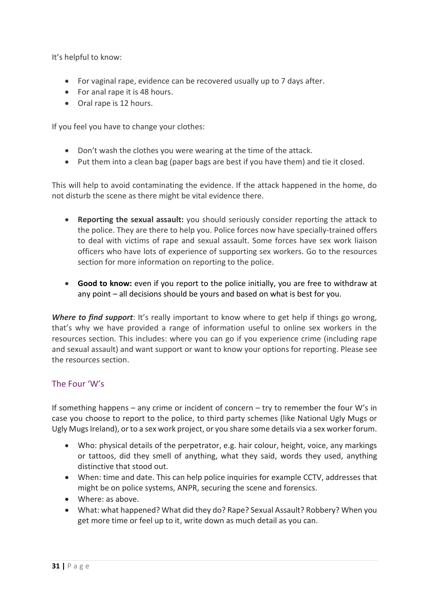It's helpful to know:

- For vaginal rape, evidence can be recovered usually up to 7 days after.
- For anal rape it is 48 hours.
- Oral rape is 12 hours.

If you feel you have to change your clothes:

- Don't wash the clothes you were wearing at the time of the attack.
- Put them into a clean bag (paper bags are best if you have them) and tie it closed.

This will help to avoid contaminating the evidence. If the attack happened in the home, do not disturb the scene as there might be vital evidence there.

- **Reporting the sexual assault:** you should seriously consider reporting the attack to the police. They are there to help you. Police forces now have specially-trained offers to deal with victims of rape and sexual assault. Some forces have sex work liaison officers who have lots of experience of supporting sex workers. Go to the resources section for more information on reporting to the police.
- **Good to know:** even if you report to the police initially, you are free to withdraw at any point – all decisions should be yours and based on what is best for you.

*Where to find support*: It's really important to know where to get help if things go wrong, that's why we have provided a range of information useful to online sex workers in the resources section. This includes: where you can go if you experience crime (including rape and sexual assault) and want support or want to know your options for reporting. Please see the resources section.

#### The Four 'W's

If something happens – any crime or incident of concern – try to remember the four W's in case you choose to report to the police, to third party schemes (like National Ugly Mugs or Ugly Mugs Ireland), or to a sex work project, or you share some details via a sex worker forum.

- Who: physical details of the perpetrator, e.g. hair colour, height, voice, any markings or tattoos, did they smell of anything, what they said, words they used, anything distinctive that stood out.
- When: time and date. This can help police inquiries for example CCTV, addresses that might be on police systems, ANPR, securing the scene and forensics.
- Where: as above.
- What: what happened? What did they do? Rape? Sexual Assault? Robbery? When you get more time or feel up to it, write down as much detail as you can.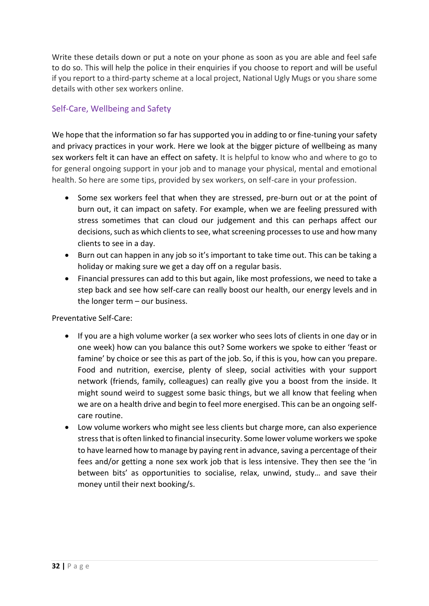Write these details down or put a note on your phone as soon as you are able and feel safe to do so. This will help the police in their enquiries if you choose to report and will be useful if you report to a third-party scheme at a local project, National Ugly Mugs or you share some details with other sex workers online.

# Self-Care, Wellbeing and Safety

We hope that the information so far has supported you in adding to or fine-tuning your safety and privacy practices in your work. Here we look at the bigger picture of wellbeing as many sex workers felt it can have an effect on safety. It is helpful to know who and where to go to for general ongoing support in your job and to manage your physical, mental and emotional health. So here are some tips, provided by sex workers, on self-care in your profession.

- Some sex workers feel that when they are stressed, pre-burn out or at the point of burn out, it can impact on safety. For example, when we are feeling pressured with stress sometimes that can cloud our judgement and this can perhaps affect our decisions, such as which clients to see, what screening processes to use and how many clients to see in a day.
- Burn out can happen in any job so it's important to take time out. This can be taking a holiday or making sure we get a day off on a regular basis.
- Financial pressures can add to this but again, like most professions, we need to take a step back and see how self-care can really boost our health, our energy levels and in the longer term – our business.

Preventative Self-Care:

- If you are a high volume worker (a sex worker who sees lots of clients in one day or in one week) how can you balance this out? Some workers we spoke to either 'feast or famine' by choice or see this as part of the job. So, if this is you, how can you prepare. Food and nutrition, exercise, plenty of sleep, social activities with your support network (friends, family, colleagues) can really give you a boost from the inside. It might sound weird to suggest some basic things, but we all know that feeling when we are on a health drive and begin to feel more energised. This can be an ongoing selfcare routine.
- Low volume workers who might see less clients but charge more, can also experience stress that is often linked to financial insecurity. Some lower volume workers we spoke to have learned how to manage by paying rent in advance, saving a percentage of their fees and/or getting a none sex work job that is less intensive. They then see the 'in between bits' as opportunities to socialise, relax, unwind, study… and save their money until their next booking/s.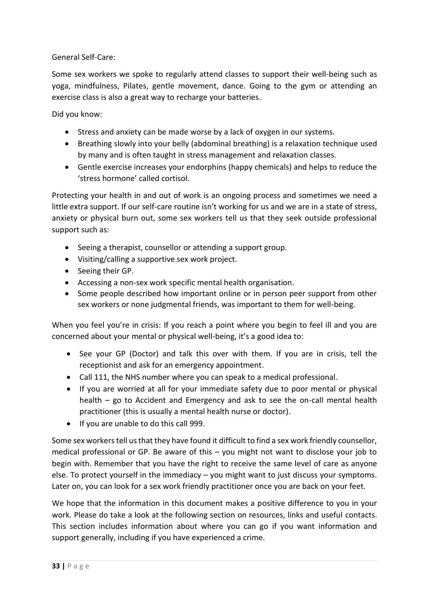General Self-Care:

Some sex workers we spoke to regularly attend classes to support their well-being such as yoga, mindfulness, Pilates, gentle movement, dance. Going to the gym or attending an exercise class is also a great way to recharge your batteries.

Did you know:

- Stress and anxiety can be made worse by a lack of oxygen in our systems.
- Breathing slowly into your belly (abdominal breathing) is a relaxation technique used by many and is often taught in stress management and relaxation classes.
- Gentle exercise increases your endorphins (happy chemicals) and helps to reduce the 'stress hormone' called cortisol.

Protecting your health in and out of work is an ongoing process and sometimes we need a little extra support. If our self-care routine isn't working for us and we are in a state of stress, anxiety or physical burn out, some sex workers tell us that they seek outside professional support such as:

- Seeing a therapist, counsellor or attending a support group.
- Visiting/calling a supportive sex work project.
- Seeing their GP.
- Accessing a non-sex work specific mental health organisation.
- Some people described how important online or in person peer support from other sex workers or none judgmental friends, was important to them for well-being.

When you feel you're in crisis: If you reach a point where you begin to feel ill and you are concerned about your mental or physical well-being, it's a good idea to:

- See your GP (Doctor) and talk this over with them. If you are in crisis, tell the receptionist and ask for an emergency appointment.
- Call 111, the NHS number where you can speak to a medical professional.
- If you are worried at all for your immediate safety due to poor mental or physical health – go to Accident and Emergency and ask to see the on-call mental health practitioner (this is usually a mental health nurse or doctor).
- If you are unable to do this call 999.

Some sex workers tell us that they have found it difficult to find a sex work friendly counsellor, medical professional or GP. Be aware of this – you might not want to disclose your job to begin with. Remember that you have the right to receive the same level of care as anyone else. To protect yourself in the immediacy – you might want to just discuss your symptoms. Later on, you can look for a sex work friendly practitioner once you are back on your feet.

We hope that the information in this document makes a positive difference to you in your work. Please do take a look at the following section on resources, links and useful contacts. This section includes information about where you can go if you want information and support generally, including if you have experienced a crime.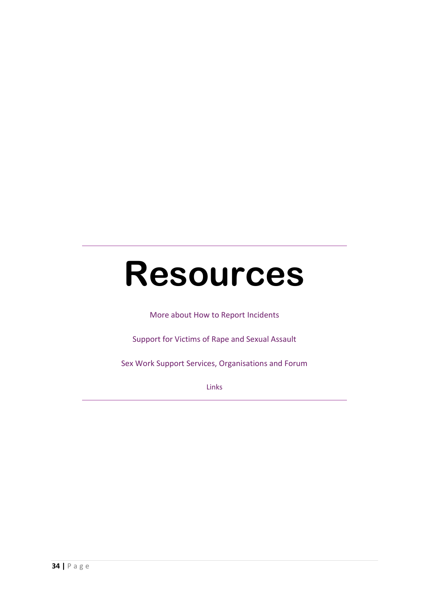# **Resources**

More about How to Report Incidents

Support for Victims of Rape and Sexual Assault

Sex Work Support Services, Organisations and Forum

Links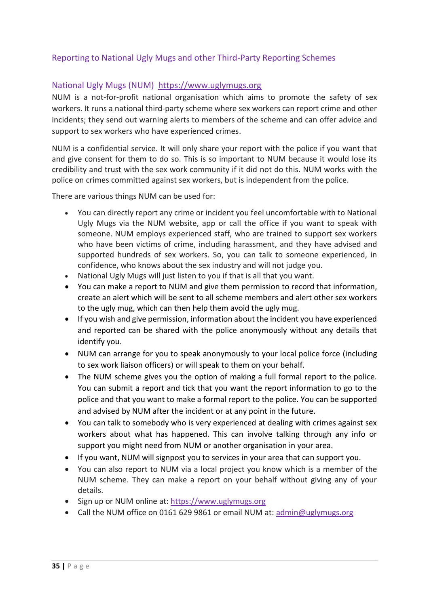# Reporting to National Ugly Mugs and other Third-Party Reporting Schemes

#### National Ugly Mugs (NUM) [https://www.uglymugs.org](https://www.uglymugs.org/)

NUM is a not-for-profit national organisation which aims to promote the safety of sex workers. It runs a national third-party scheme where sex workers can report crime and other incidents; they send out warning alerts to members of the scheme and can offer advice and support to sex workers who have experienced crimes.

NUM is a confidential service. It will only share your report with the police if you want that and give consent for them to do so. This is so important to NUM because it would lose its credibility and trust with the sex work community if it did not do this. NUM works with the police on crimes committed against sex workers, but is independent from the police.

There are various things NUM can be used for:

- You can directly report any crime or incident you feel uncomfortable with to National Ugly Mugs via the NUM website, app or call the office if you want to speak with someone. NUM employs experienced staff, who are trained to support sex workers who have been victims of crime, including harassment, and they have advised and supported hundreds of sex workers. So, you can talk to someone experienced, in confidence, who knows about the sex industry and will not judge you.
- National Ugly Mugs will just listen to you if that is all that you want.
- You can make a report to NUM and give them permission to record that information, create an alert which will be sent to all scheme members and alert other sex workers to the ugly mug, which can then help them avoid the ugly mug.
- If you wish and give permission, information about the incident you have experienced and reported can be shared with the police anonymously without any details that identify you.
- NUM can arrange for you to speak anonymously to your local police force (including to sex work liaison officers) or will speak to them on your behalf.
- The NUM scheme gives you the option of making a full formal report to the police. You can submit a report and tick that you want the report information to go to the police and that you want to make a formal report to the police. You can be supported and advised by NUM after the incident or at any point in the future.
- You can talk to somebody who is very experienced at dealing with crimes against sex workers about what has happened. This can involve talking through any info or support you might need from NUM or another organisation in your area.
- If you want, NUM will signpost you to services in your area that can support you.
- You can also report to NUM via a local project you know which is a member of the NUM scheme. They can make a report on your behalf without giving any of your details.
- Sign up or NUM online at: [https://www.uglymugs.org](https://www.uglymugs.org/)
- Call the NUM office on 0161 629 9861 or email NUM at: [admin@uglymugs.org](mailto:admin@uglymugs.org)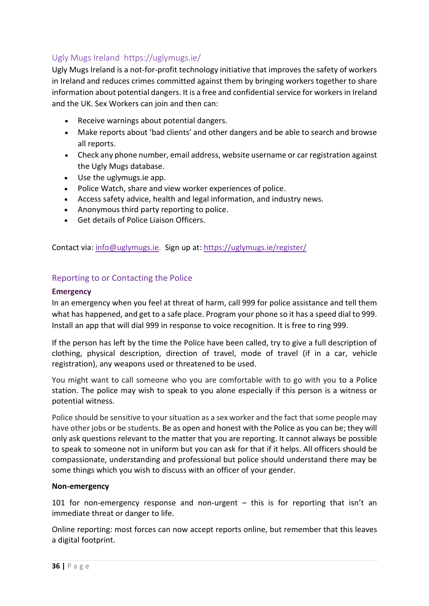# [Ugly Mugs Ireland](https://uglymugs.ie/) https://uglymugs.ie/

Ugly Mugs Ireland is a not-for-profit technology initiative that improves the safety of workers in Ireland and reduces crimes committed against them by bringing workers together to share information about potential dangers. It is a free and confidential service for workers in Ireland and the UK. Sex Workers can join and then can:

- Receive warnings about potential dangers.
- Make reports about 'bad clients' and other dangers and be able to search and browse all reports.
- Check any phone number, email address, website username or car registration against the Ugly Mugs database.
- Use the uglymugs.ie app.
- Police Watch, share and view worker experiences of police.
- Access safety advice, health and legal information, and industry news.
- Anonymous third party reporting to police.
- Get details of Police Liaison Officers.

Contact via: [info@uglymugs.ie.](mailto:info@uglymugs.ie) Sign up at:<https://uglymugs.ie/register/>

#### Reporting to or Contacting the Police

#### **Emergency**

In an emergency when you feel at threat of harm, call 999 for police assistance and tell them what has happened, and get to a safe place. Program your phone so it has a speed dial to 999. Install an app that will dial 999 in response to voice recognition. It is free to ring 999.

If the person has left by the time the Police have been called, try to give a full description of clothing, physical description, direction of travel, mode of travel (if in a car, vehicle registration), any weapons used or threatened to be used.

You might want to call someone who you are comfortable with to go with you to a Police station. The police may wish to speak to you alone especially if this person is a witness or potential witness.

Police should be sensitive to your situation as a sex worker and the fact that some people may have other jobs or be students. Be as open and honest with the Police as you can be; they will only ask questions relevant to the matter that you are reporting. It cannot always be possible to speak to someone not in uniform but you can ask for that if it helps. All officers should be compassionate, understanding and professional but police should understand there may be some things which you wish to discuss with an officer of your gender.

#### **Non-emergency**

101 for non-emergency response and non-urgent – this is for reporting that isn't an immediate threat or danger to life.

Online reporting: most forces can now accept reports online, but remember that this leaves a digital footprint.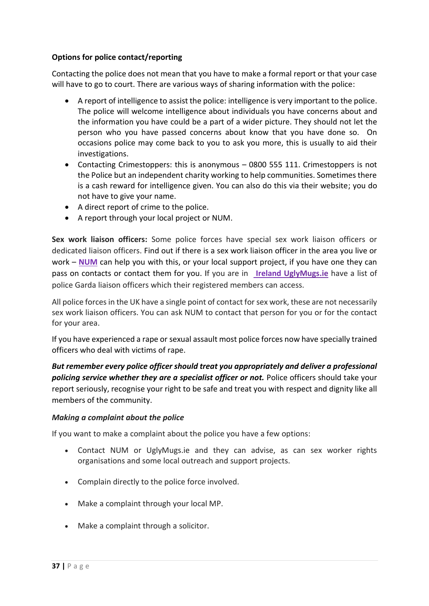#### **Options for police contact/reporting**

Contacting the police does not mean that you have to make a formal report or that your case will have to go to court. There are various ways of sharing information with the police:

- A report of intelligence to assist the police: intelligence is very important to the police. The police will welcome intelligence about individuals you have concerns about and the information you have could be a part of a wider picture. They should not let the person who you have passed concerns about know that you have done so. On occasions police may come back to you to ask you more, this is usually to aid their investigations.
- Contacting Crimestoppers: this is anonymous 0800 555 111. Crimestoppers is not the Police but an independent charity working to help communities. Sometimes there is a cash reward for intelligence given. You can also do this via their website; you do not have to give your name.
- A direct report of crime to the police.
- A report through your local project or NUM.

**Sex work liaison officers:** Some police forces have special sex work liaison officers or dedicated liaison officers. Find out if there is a sex work liaison officer in the area you live or work – **[NUM](https://www.uglymugs.org/)** can help you with this, or your local support project, if you have one they can pass on contacts or contact them for you. If you are in **Ireland [UglyMugs.ie](https://uglymugs.ie/contact/)** have a list of police Garda liaison officers which their registered members can access.

All police forcesin the UK have a single point of contact for sex work, these are not necessarily sex work liaison officers. You can ask NUM to contact that person for you or for the contact for your area.

If you have experienced a rape or sexual assault most police forces now have specially trained officers who deal with victims of rape.

*But remember every police officer should treat you appropriately and deliver a professional policing service whether they are a specialist officer or not.* Police officers should take your report seriously, recognise your right to be safe and treat you with respect and dignity like all members of the community.

#### *Making a complaint about the police*

If you want to make a complaint about the police you have a few options:

- Contact NUM or UglyMugs.ie and they can advise, as can sex worker rights organisations and some local outreach and support projects.
- Complain directly to the police force involved.
- Make a complaint through your local MP.
- Make a complaint through a solicitor.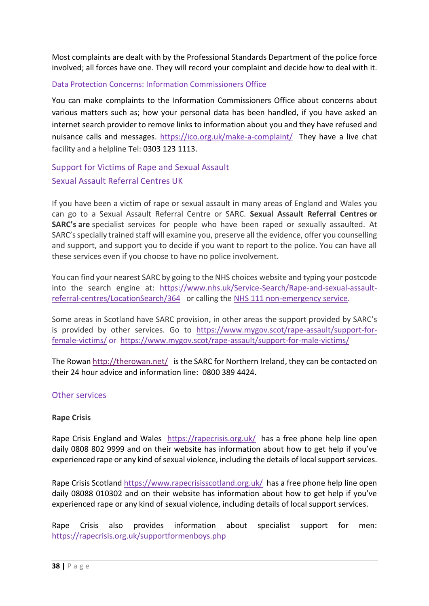Most complaints are dealt with by the Professional Standards Department of the police force involved; all forces have one. They will record your complaint and decide how to deal with it.

#### Data Protection Concerns: Information Commissioners Office

You can make complaints to the Information Commissioners Office about concerns about various matters such as; how your personal data has been handled, if you have asked an internet search provider to remove links to information about you and they have refused and nuisance calls and messages.<https://ico.org.uk/make-a-complaint/> They have a live chat facility and a helpline Tel: 0303 123 1113.

Support for Victims of Rape and Sexual Assault Sexual Assault Referral Centres UK

If you have been a victim of rape or sexual assault in many areas of England and Wales you can go to a Sexual Assault Referral Centre or SARC. **Sexual Assault Referral Centres or SARC's are** specialist services for people who have been raped or sexually assaulted. At SARC's specially trained staff will examine you, preserve all the evidence, offer you counselling and support, and support you to decide if you want to report to the police. You can have all these services even if you choose to have no police involvement.

You can find your nearest SARC by going to the NHS choices website and typing your postcode into the search engine at: [https://www.nhs.uk/Service-Search/Rape-and-sexual-assault](https://www.nhs.uk/Service-Search/Rape-and-sexual-assault-referral-centres/LocationSearch/364)[referral-centres/LocationSearch/364](https://www.nhs.uk/Service-Search/Rape-and-sexual-assault-referral-centres/LocationSearch/364) or calling the [NHS 111 non-emergency service.](http://www.nhs.uk/NHSEngland/AboutNHSservices/Emergencyandurgentcareservices/Pages/NHS-111.aspx)

Some areas in Scotland have SARC provision, in other areas the support provided by SARC's is provided by other services. Go to [https://www.mygov.scot/rape-assault/support-for](https://www.mygov.scot/rape-assault/support-for-female-victims/)[female-victims/](https://www.mygov.scot/rape-assault/support-for-female-victims/) or <https://www.mygov.scot/rape-assault/support-for-male-victims/>

The Rowa[n http://therowan.net/](http://therowan.net/) is the SARC for Northern Ireland, they can be contacted on their 24 hour advice and information line: 0800 389 4424**.**

#### Other services

#### **Rape Crisis**

Rape Crisis England and Wales <https://rapecrisis.org.uk/>has a free phone help line open daily 0808 802 9999 and on their website has information about how to get help if you've experienced rape or any kind of sexual violence, including the details of local support services.

Rape Crisis Scotland<https://www.rapecrisisscotland.org.uk/>has a free phone help line open daily 08088 010302 and on their website has information about how to get help if you've experienced rape or any kind of sexual violence, including details of local support services.

Rape Crisis also provides information about specialist support for men: <https://rapecrisis.org.uk/supportformenboys.php>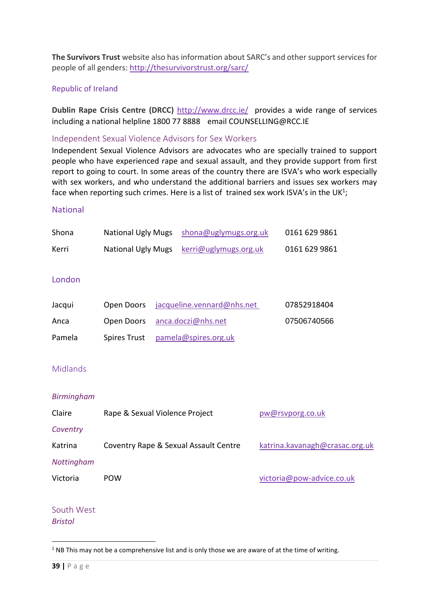**The Survivors Trust** website also has information about SARC's and other support services for people of all genders:<http://thesurvivorstrust.org/sarc/>

#### Republic of Ireland

**Dublin Rape Crisis Centre (DRCC)** <http://www.drcc.ie/>provides a wide range of services including a national helpline 1800 77 8888 email COUNSELLING@RCC.IE

#### Independent Sexual Violence Advisors for Sex Workers

Independent Sexual Violence Advisors are advocates who are specially trained to support people who have experienced rape and sexual assault, and they provide support from first report to going to court. In some areas of the country there are ISVA's who work especially with sex workers, and who understand the additional barriers and issues sex workers may face when reporting such crimes. Here is a list of trained sex work ISVA's in the UK<sup>1</sup>;

#### **National**

| Shona             | <b>National Ugly Mugs</b>             |  | shona@uglymugs.org.uk      |                                | 0161 629 9861             |
|-------------------|---------------------------------------|--|----------------------------|--------------------------------|---------------------------|
| Kerri             | <b>National Ugly Mugs</b>             |  | kerri@uglymugs.org.uk      |                                | 0161 629 9861             |
| London            |                                       |  |                            |                                |                           |
| Jacqui            | Open Doors                            |  | jacqueline.vennard@nhs.net |                                | 07852918404               |
| Anca              | Open Doors                            |  | anca.doczi@nhs.net         |                                | 07506740566               |
| Pamela            | <b>Spires Trust</b>                   |  | pamela@spires.org.uk       |                                |                           |
|                   |                                       |  |                            |                                |                           |
| <b>Midlands</b>   |                                       |  |                            |                                |                           |
| <b>Birmingham</b> |                                       |  |                            |                                |                           |
| Claire            | Rape & Sexual Violence Project        |  |                            | pw@rsvporg.co.uk               |                           |
| Coventry          |                                       |  |                            |                                |                           |
| Katrina           | Coventry Rape & Sexual Assault Centre |  |                            | katrina.kavanagh@crasac.org.uk |                           |
| Nottingham        |                                       |  |                            |                                |                           |
| Victoria          | <b>POW</b>                            |  |                            |                                | victoria@pow-advice.co.uk |
|                   |                                       |  |                            |                                |                           |

South West *Bristol*

**.** 

 $1$  NB This may not be a comprehensive list and is only those we are aware of at the time of writing.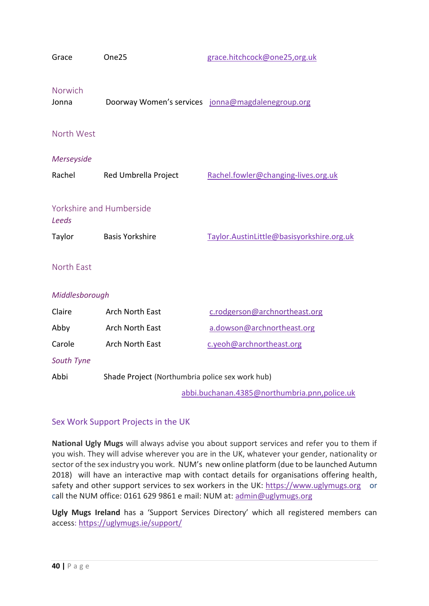| Grace                                    | One25                                           | grace.hitchcock@one25,org.uk                      |  |  |  |  |
|------------------------------------------|-------------------------------------------------|---------------------------------------------------|--|--|--|--|
| Norwich<br>Jonna                         |                                                 | Doorway Women's services jonna@magdalenegroup.org |  |  |  |  |
| North West                               |                                                 |                                                   |  |  |  |  |
| Merseyside                               |                                                 |                                                   |  |  |  |  |
| Rachel                                   | Red Umbrella Project                            | Rachel.fowler@changing-lives.org.uk               |  |  |  |  |
| Yorkshire and Humberside<br><b>Leeds</b> |                                                 |                                                   |  |  |  |  |
| Taylor                                   | <b>Basis Yorkshire</b>                          | Taylor.AustinLittle@basisyorkshire.org.uk         |  |  |  |  |
| <b>North East</b>                        |                                                 |                                                   |  |  |  |  |
| Middlesborough                           |                                                 |                                                   |  |  |  |  |
| Claire                                   | <b>Arch North East</b>                          | c.rodgerson@archnortheast.org                     |  |  |  |  |
| Abby                                     | Arch North East                                 | a.dowson@archnortheast.org                        |  |  |  |  |
| Carole                                   | Arch North East                                 | c.yeoh@archnortheast.org                          |  |  |  |  |
| South Tyne                               |                                                 |                                                   |  |  |  |  |
| Abbi                                     | Shade Project (Northumbria police sex work hub) |                                                   |  |  |  |  |
|                                          |                                                 | abbi.buchanan.4385@northumbria.pnn.police.uk      |  |  |  |  |

# Sex Work Support Projects in the UK

**National Ugly Mugs** will always advise you about support services and refer you to them if you wish. They will advise wherever you are in the UK, whatever your gender, nationality or sector of the sex industry you work. NUM's new online platform (due to be launched Autumn 2018) will have an interactive map with contact details for organisations offering health, safety and other support services to sex workers in the UK: [https://www.uglymugs.org](https://www.uglymugs.org/) or call the NUM office: 0161 629 9861 e mail: NUM at: admin@uglymugs.org

**Ugly Mugs Ireland** has a 'Support Services Directory' which all registered members can access:<https://uglymugs.ie/support/>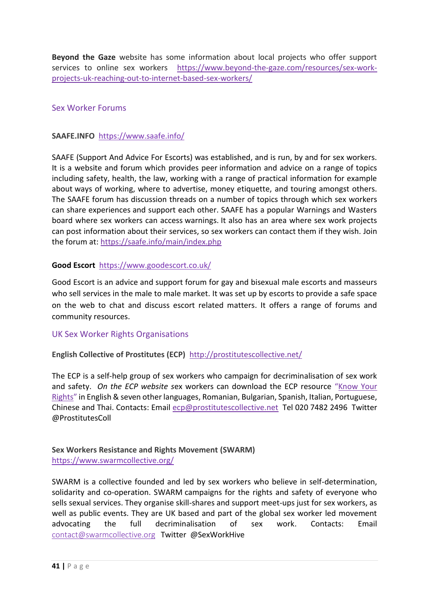**Beyond the Gaze** website has some information about local projects who offer support services to online sex workers [https://www.beyond-the-gaze.com/resources/sex-work](https://www.beyond-the-gaze.com/resources/sex-work-projects-uk-reaching-out-to-internet-based-sex-workers/)[projects-uk-reaching-out-to-internet-based-sex-workers/](https://www.beyond-the-gaze.com/resources/sex-work-projects-uk-reaching-out-to-internet-based-sex-workers/) 

#### Sex Worker Forums

#### **SAAFE.INFO** <https://www.saafe.info/>

SAAFE (Support And Advice For Escorts) was established, and is run, by and for sex workers. It is a website and forum which provides peer information and advice on a range of topics including safety, health, the law, working with a range of practical information for example about ways of working, where to advertise, money etiquette, and touring amongst others. The SAAFE forum has discussion threads on a number of topics through which sex workers can share experiences and support each other. SAAFE has a popular Warnings and Wasters board where sex workers can access warnings. It also has an area where sex work projects can post information about their services, so sex workers can contact them if they wish. Join the forum at:<https://saafe.info/main/index.php>

#### **Good Escort** <https://www.goodescort.co.uk/>

Good Escort is an advice and support forum for gay and bisexual male escorts and masseurs who sell services in the male to male market. It was set up by escorts to provide a safe space on the web to chat and discuss escort related matters. It offers a range of forums and community resources.

#### UK Sex Worker Rights Organisations

#### **English Collective of Prostitutes (ECP)** <http://prostitutescollective.net/>

The ECP is a self-help group of sex workers who campaign for decriminalisation of sex work and safety. *On the ECP website s*ex workers can download the ECP resource "[Know](http://prostitutescollective.net/know-your-rights/) Your [Rights](http://prostitutescollective.net/know-your-rights/)" in English & seven other languages, Romanian, Bulgarian, Spanish, Italian, Portuguese, Chinese and Thai. Contacts: Email [ecp@prostitutescollective.net](mailto:ecp@prostitutescollective.net) Tel 020 7482 2496 Twitter @ProstitutesColl

#### **Sex Workers Resistance and Rights Movement (SWARM)** <https://www.swarmcollective.org/>

SWARM is a collective founded and led by sex workers who believe in self-determination, solidarity and co-operation. SWARM campaigns for the rights and safety of everyone who sells sexual services. They organise skill-shares and support meet-ups just for sex workers, as well as public events. They are UK based and part of the global sex worker led movement advocating the full decriminalisation of sex work. Contacts: Email [contact@swarmcollective.org](mailto:contact@swarmcollective.org) Twitter @SexWorkHive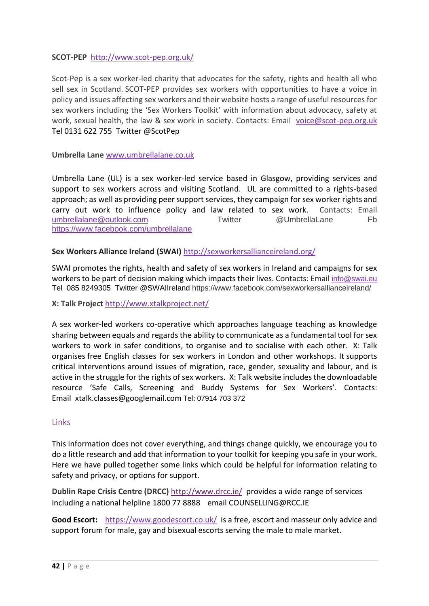#### **SCOT-PEP** <http://www.scot-pep.org.uk/>

Scot-Pep is a sex worker-led charity that advocates for the safety, rights and health all who sell sex in Scotland. SCOT-PEP provides sex workers with opportunities to have a voice in policy and issues affecting sex workers and their website hosts a range of useful resources for sex workers including the 'Sex Workers Toolkit' with information about advocacy, safety at work, sexual health, the law & sex work in society. Contacts: Email [voice@scot-pep.org.uk](mailto:voice@scot-pep.org.uk)  Tel 0131 622 755 Twitter @ScotPep

#### **Umbrella Lane** [www.umbrellalane.co.uk](http://www.umbrellalane.co.uk/)

Umbrella Lane (UL) is a sex worker-led service based in Glasgow, providing services and support to sex workers across and visiting Scotland. UL are committed to a rights-based approach; as well as providing peer support services, they campaign for sex worker rights and carry out work to influence policy and law related to sex work. Contacts: Email [umbrellalane@outlook.com](mailto:umbrellalane@outlook.com) Twitter @UmbrellaLane Fb <https://www.facebook.com/umbrellalane>

#### **Sex Workers Alliance Ireland (SWAI)** <http://sexworkersallianceireland.org/>

SWAI promotes the rights, health and safety of sex workers in Ireland and campaigns for sex workers to be part of decision making which impacts their lives. Contacts: Email [info@swai.eu](mailto:info@swai.eu) Tel 085 8249305 Twitter @SWAIIreland <https://www.facebook.com/sexworkersallianceireland/>

**X: Talk Project** <http://www.xtalkproject.net/>

A sex worker-led workers co-operative which approaches language teaching as knowledge sharing between equals and regards the ability to communicate as a fundamental tool for sex workers to work in safer conditions, to organise and to socialise with each other. X: Talk organises free English classes for sex workers in London and other workshops. It supports critical interventions around issues of migration, race, gender, sexuality and labour, and is active in the struggle for the rights of sex workers. X: Talk website includes the downloadable resource 'Safe Calls, Screening and Buddy Systems for Sex Workers'. Contacts: Email [xtalk.classes@googlemail.com](mailto:xtalk.classes@googlemail.com) Tel: 07914 703 372

#### Links

This information does not cover everything, and things change quickly, we encourage you to do a little research and add that information to your toolkit for keeping you safe in your work. Here we have pulled together some links which could be helpful for information relating to safety and privacy, or options for support.

**Dublin Rape Crisis Centre (DRCC)** <http://www.drcc.ie/>provides a wide range of services including a national helpline 1800 77 8888 email COUNSELLING@RCC.IE

**Good Escort:** <https://www.goodescort.co.uk/>is a free, escort and masseur only advice and support forum for male, gay and bisexual escorts serving the male to male market.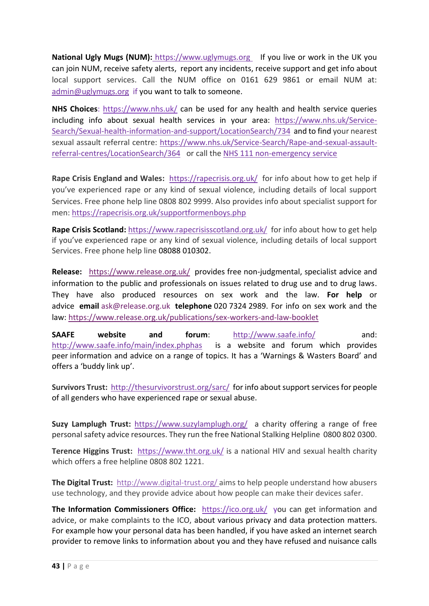**National Ugly Mugs (NUM):** [https://www.uglymugs.org](https://www.uglymugs.org/)If you live or work in the UK you can join NUM, receive safety alerts, report any incidents, receive support and get info about local support services. Call the NUM office on 0161 629 9861 or email NUM at: [admin@uglymugs.org](mailto:admin@uglymugs.org) if you want to talk to someone.

**NHS Choices**:<https://www.nhs.uk/> can be used for any health and health service queries including info about sexual health services in your area: [https://www.nhs.uk/Service-](https://www.nhs.uk/Service-Search/Sexual-health-information-and-support/LocationSearch/734)[Search/Sexual-health-information-and-support/LocationSearch/734](https://www.nhs.uk/Service-Search/Sexual-health-information-and-support/LocationSearch/734) and to find your nearest sexual assault referral centre: [https://www.nhs.uk/Service-Search/Rape-and-sexual-assault](https://www.nhs.uk/Service-Search/Rape-and-sexual-assault-referral-centres/LocationSearch/364)[referral-centres/LocationSearch/364](https://www.nhs.uk/Service-Search/Rape-and-sexual-assault-referral-centres/LocationSearch/364) or call the [NHS 111 non-emergency service](http://www.nhs.uk/NHSEngland/AboutNHSservices/Emergencyandurgentcareservices/Pages/NHS-111.aspx)

**Rape Crisis England and Wales:** <https://rapecrisis.org.uk/>for info about how to get help if you've experienced rape or any kind of sexual violence, including details of local support Services. Free phone help line 0808 802 9999. Also provides info about specialist support for men:<https://rapecrisis.org.uk/supportformenboys.php>

**Rape Crisis Scotland:** <https://www.rapecrisisscotland.org.uk/>for info about how to get help if you've experienced rape or any kind of sexual violence, including details of local support Services. Free phone help line 08088 010302.

**Release:** <https://www.release.org.uk/>provides free non-judgmental, specialist advice and information to the public and professionals on issues related to drug use and to drug laws. They have also produced resources on sex work and the law. **For help** or advice **email** [ask@release.org.uk](mailto:ask@release.org.uk) **telephone** 020 7324 2989. For info on sex work and the law:<https://www.release.org.uk/publications/sex-workers-and-law-booklet>

**SAAFE website and forum**: <http://www.saafe.info/>and: <http://www.saafe.info/main/index.phphas>is a website and forum which provides peer information and advice on a range of topics. It has a 'Warnings & Wasters Board' and offers a 'buddy link up'.

**Survivors Trust:**<http://thesurvivorstrust.org/sarc/>for info about support services for people of all genders who have experienced rape or sexual abuse.

**Suzy Lamplugh Trust:** <https://www.suzylamplugh.org/> a charity offering a range of free personal safety advice resources. They run the free National Stalking Helpline 0800 802 0300.

**Terence Higgins Trust:** <https://www.tht.org.uk/> is a national HIV and sexual health charity which offers a free helpline 0808 802 1221.

**The Digital Trust:** <http://www.digital-trust.org/> aims to help people understand how abusers use technology, and they provide advice about how people can make their devices safer.

**The Information Commissioners Office:** <https://ico.org.uk/> you can get information and advice, or make complaints to the ICO, about various privacy and data protection matters. For example how your personal data has been handled, if you have asked an internet search provider to remove links to information about you and they have refused and nuisance calls